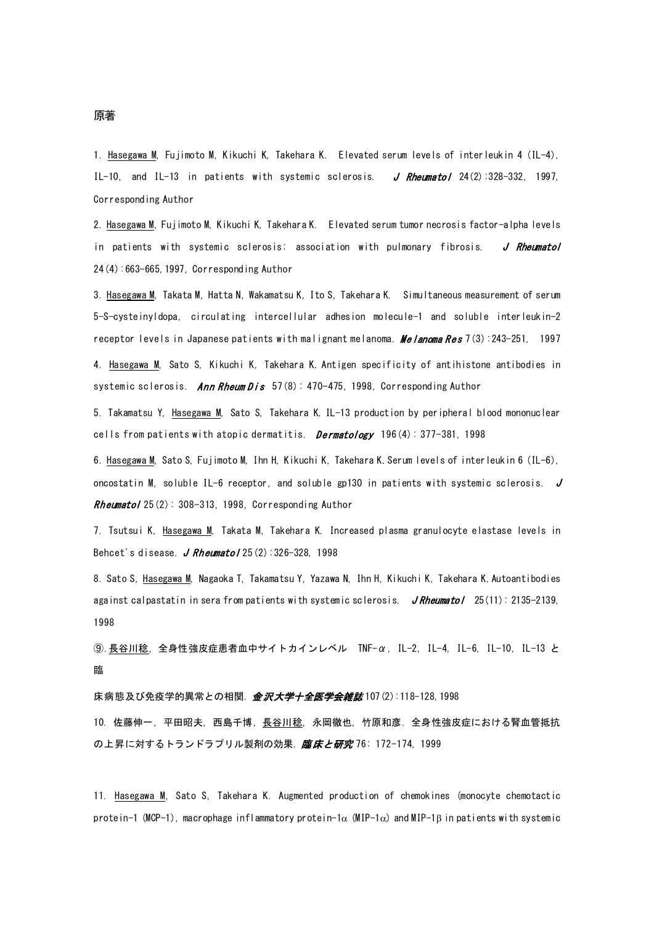1. Hasegawa M, Fujimoto M, Kikuchi K, Takehara K. Elevated serum levels of interleukin 4 (IL-4), IL-10, and IL-13 in patients with systemic sclerosis.  $J$  Rheumatol 24(2):328-332, 1997, Corresponding Author

2. Hasegawa M, Fujimoto M, Kikuchi K, Takehara K. Elevated serum tumor necrosis factor-alpha levels in patients with systemic sclerosis: association with pulmonary fibrosis. J Rheumatol 24(4):663-665,1997, Corresponding Author

3. Hasegawa M, Takata M, Hatta N, Wakamatsu K, Ito S, Takehara K. Simultaneous measurement of serum 5-S-cysteinyldopa, circulating intercellular adhesion molecule-1 and soluble interleukin-2 receptor levels in Japanese patients with malignant melanoma. *Melanoma Res* 7(3):243-251, 1997

4. Hasegawa M, Sato S, Kikuchi K, Takehara K. Antigen specificity of antihistone antibodies in systemic sclerosis. Ann Rheum Dis  $57(8)$ : 470-475, 1998, Corresponding Author

5. Takamatsu Y, Hasegawa M, Sato S, Takehara K. IL-13 production by peripheral blood mononuclear cells from patients with atopic dermatitis. *Dermatology*  $196(4): 377-381$ , 1998

6. Hasegawa M, Sato S, Fujimoto M, Ihn H, Kikuchi K, Takehara K. Serum levels of interleukin 6 (IL-6), oncostatin M, soluble IL-6 receptor, and soluble gp130 in patients with systemic sclerosis.  $J$ Rheumatol 25(2): 308-313, 1998, Corresponding Author

7. Tsutsui K, Hasegawa M, Takata M, Takehara K. Increased plasma granulocyte elastase levels in Behcet's disease. J Rheumatol  $25(2):326-328, 1998$ 

8. Sato S, Hasegawa M, Nagaoka T, Takamatsu Y, Yazawa N, Ihn H, Kikuchi K, Takehara K. Autoantibodies against calpastatin in sera from patients with systemic sclerosis. JRheumatol 25(11): 2135-2139, 1998

⑨.長谷川稔, 全身性強皮症患者血中サイトカインレベル TNF-α, IL-2, IL-4, IL-6, IL-10, IL-13 と 臨

床病態及び免疫学的異常との相関.*金沢大学十全医学会雑誌* 107(2):118-128, 1998 10. 佐藤伸一, 平田昭夫, 西島千博, 長谷川稔, 永岡徹也, 竹原和彦. 全身性強皮症における腎血管抵抗 の上昇に対するトランドラプリル製剤の効果. *臨床と研究* 76: 172-174, 1999

11. Hasegawa M, Sato S, Takehara K. Augmented production of chemokines (monocyte chemotactic protein-1 (MCP-1), macrophage inflammatory protein-1α (MIP-1α) and MIP-1β in patients with systemic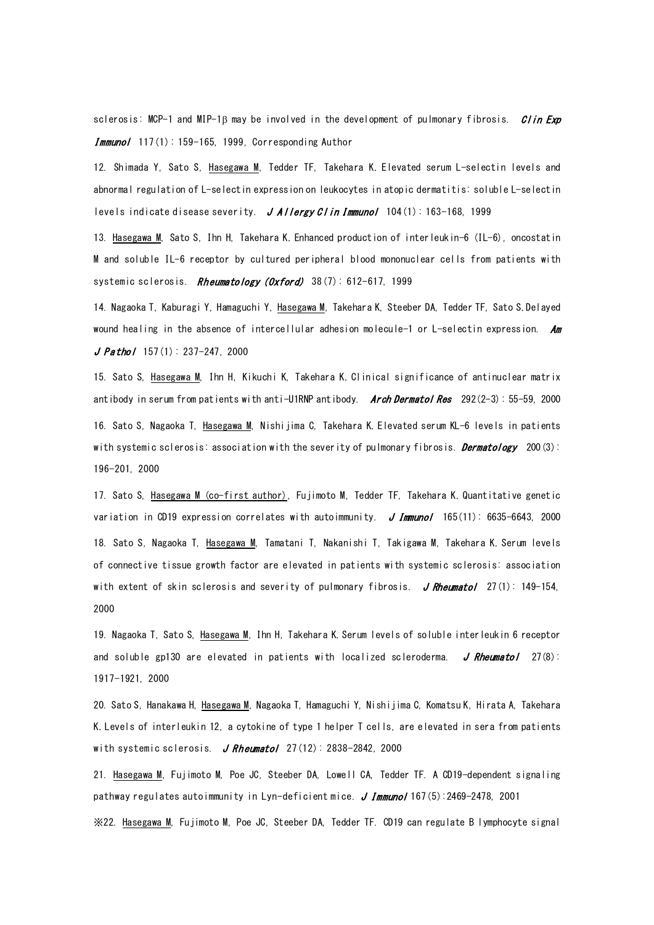sclerosis: MCP-1 and MIP-1ß may be involved in the development of pulmonary fibrosis.  $Clin$  Exp Immunol 117(1): 159-165, 1999, Corresponding Author

12. Shimada Y, Sato S, Hasegawa M, Tedder TF, Takehara K. Elevated serum L-selectin levels and abnormal regulation of L-selectin expression on leukocytes in atopic dermatitis: soluble L-selectin levels indicate disease severity. J Allergy Clin Immunol  $104(1)$ : 163-168, 1999

13. Hasegawa M, Sato S, Ihn H, Takehara K. Enhanced production of interleukin-6 (IL-6), oncostatin M and soluble IL-6 receptor by cultured peripheral blood mononuclear cells from patients with systemic sclerosis. Rheumatology (Oxford) 38(7): 612-617, 1999

14. Nagaoka T, Kaburagi Y, Hamaguchi Y, Hasegawa M, Takehara K, Steeber DA, Tedder TF, Sato S. Delayed wound healing in the absence of intercellular adhesion molecule-1 or L-selectin expression. Am  $J$  Pathol 157(1): 237-247, 2000

15. Sato S, Hasegawa M, Ihn H, Kikuchi K, Takehara K. Clinical significance of antinuclear matrix antibody in serum from patients with anti-U1RNP antibody. **Arch Dermatol Res**  $292(2-3): 55-59, 2000$ 16. Sato S, Nagaoka T, Hasegawa M, Nishijima C, Takehara K. Elevated serum KL-6 levels in patients with systemic sclerosis: association with the severity of pulmonary fibrosis. *Dermatology* 200(3): 196-201, 2000

17. Sato S, Hasegawa M (co-first author), Fujimoto M, Tedder TF, Takehara K. Quantitative genetic variation in CD19 expression correlates with autoimmunity.  $J$  *Immunol* 165(11): 6635-6643, 2000 18. Sato S, Nagaoka T, Hasegawa M, Tamatani T, Nakanishi T, Takigawa M, Takehara K. Serum levels of connective tissue growth factor are elevated in patients with systemic sclerosis: association with extent of skin sclerosis and severity of pulmonary fibrosis. J Rheumatol 27(1): 149-154, 2000

19. Nagaoka T, Sato S, Hasegawa M, Ihn H, Takehara K. Serum levels of soluble interleukin 6 receptor and soluble gp130 are elevated in patients with localized scleroderma. J Rheumatol  $27(8)$ : 1917-1921, 2000

20. Sato S, Hanakawa H, Hasegawa M, Nagaoka T, Hamaguchi Y, Nishijima C, Komatsu K, Hirata A, Takehara K. Levels of interleukin 12, a cytokine of type 1 helper T cells, are elevated in sera from patients with systemic sclerosis. J Rheumatol  $27(12)$ : 2838-2842, 2000

21. Hasegawa M, Fujimoto M, Poe JC, Steeber DA, Lowell CA, Tedder TF. A CD19-dependent signaling pathway regulates autoimmunity in Lyn-deficient mice.  $J$  Immunol 167(5):2469-2478, 2001

※22. Hasegawa M, Fujimoto M, Poe JC, Steeber DA, Tedder TF. CD19 can regulate B lymphocyte signal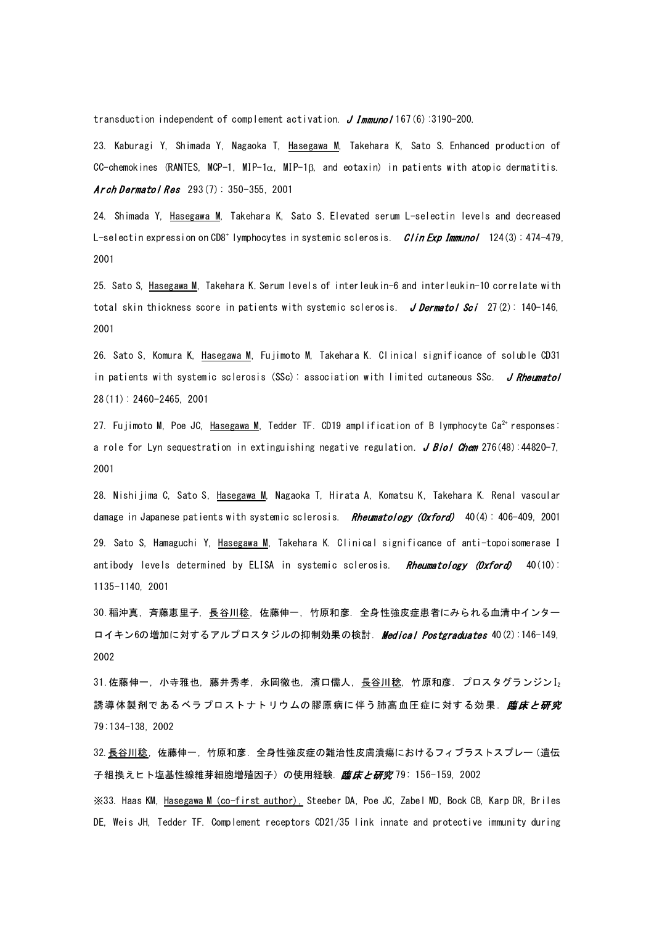transduction independent of complement activation. J Immuno/167(6):3190-200.

23. Kaburagi Y, Shimada Y, Nagaoka T, Hasegawa M, Takehara K, Sato S. Enhanced production of CC-chemokines (RANTES, MCP-1, MIP-1 $\alpha$ , MIP-1 $\beta$ , and eotaxin) in patients with atopic dermatitis. Arch Dermatol Res  $293(7): 350-355, 2001$ 

24. Shimada Y, Hasegawa M, Takehara K, Sato S. Elevated serum L-selectin levels and decreased L-selectin expression on CD8<sup>+</sup> lymphocytes in systemic sclerosis. *Clin Exp Immunol* 124(3): 474-479, 2001

25. Sato S, Hasegawa M, Takehara K. Serum levels of interleukin-6 and interleukin-10 correlate with total skin thickness score in patients with systemic sclerosis. J Dermatol Sci 27(2): 140-146, 2001

26. Sato S, Komura K, Hasegawa M, Fujimoto M, Takehara K. Clinical significance of soluble CD31 in patients with systemic sclerosis (SSc): association with limited cutaneous SSc. J Rheumatol 28(11): 2460-2465, 2001

27. Fujimoto M, Poe JC, Hasegawa M, Tedder TF. CD19 amplification of B lymphocyte Ca<sup>2+</sup> responses: a role for Lyn sequestration in extinguishing negative regulation. J Biol Chem 276(48):44820-7, 2001

28. Nishijima C, Sato S, Hasegawa M, Nagaoka T, Hirata A, Komatsu K, Takehara K. Renal vascular damage in Japanese patients with systemic sclerosis. Rheumatology (Oxford) 40(4): 406-409, 2001 29. Sato S, Hamaguchi Y, Hasegawa M, Takehara K. Clinical significance of anti-topoisomerase I antibody levels determined by ELISA in systemic sclerosis. Rheumatology (Oxford) 40(10): 1135-1140, 2001

30.稲沖真, 斉藤恵里子, 長谷川稔, 佐藤伸一, 竹原和彦. 全身性強皮症患者にみられる血清中インター ロイキン6の増加に対するアルプロスタジルの抑制効果の検討. [Medical Postgraduates](http://www.jamas.or.jp/user/database/Search/detail/scode/J01434) 40(2):146-149. 2002

31.佐藤伸一, 小寺雅也, 藤井秀孝, 永岡徹也, 濱口儒人, 長谷川稔, 竹原和彦. プロスタグランジンI2 誘導体製剤であるベラプロストナトリウムの膠原病に伴う肺高血圧症に対する効果. *臨床と研究* 79:134-138, 2002

32.長谷川稔, 佐藤伸一, 竹原和彦. 全身性強皮症の難治性皮膚潰瘍におけるフィブラストスプレー(遺伝 子組換えヒト塩基性線維芽細胞増殖因子)の使用経験. 臨床と研究 79: 156-159, 2002

※33. Haas KM, Hasegawa M (co-first author), Steeber [DA, Poe JC, Zabel MD, Bock CB, Karp DR, Briles](http://www.ncbi.nlm.nih.gov/entrez/query.fcgi?cmd=Retrieve&db=pubmed&dopt=Abstract&list_uids=12479818&query_hl=3)  [DE, Weis JH, Tedder TF.](http://www.ncbi.nlm.nih.gov/entrez/query.fcgi?cmd=Retrieve&db=pubmed&dopt=Abstract&list_uids=12479818&query_hl=3) Complement receptors CD21/35 link innate and protective immunity during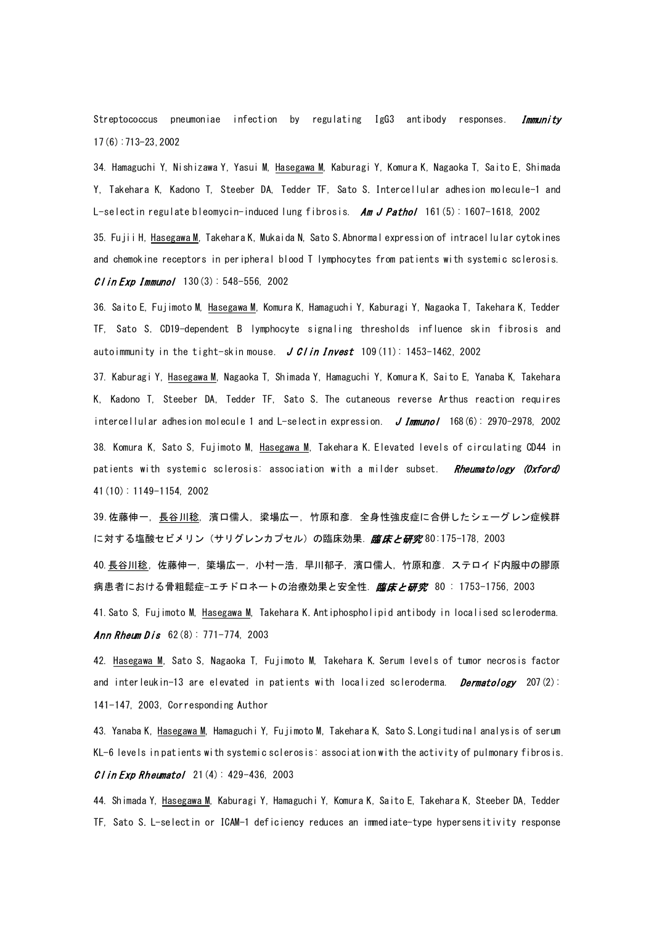Streptococcus pneumoniae infection by regulating IgG3 antibody responses. **Immunity** 17(6):713-23,2002

34. Hamaguchi Y, Nishizawa Y, Yasui M, Hasegawa M, Kaburagi Y, Komura K, Nagaoka T, Saito E, Shimada Y, Takehara K, Kadono T, Steeber DA, Tedder TF, Sato S. Intercellular adhesion molecule-1 and L-selectin regulate bleomycin-induced lung fibrosis.  $Am J Patho/ 161(5)$ : 1607-1618, 2002

35. Fujii H, Hasegawa M, Takehara K, Mukaida N, Sato S. Abnormal expression of intracellular cytokines and chemokine receptors in peripheral blood T lymphocytes from patients with systemic sclerosis.  $C$  l in Exp Immunol 130(3): 548-556, 2002

36. Saito E, Fujimoto M, Hasegawa M, Komura K, Hamaguchi Y, Kaburagi Y, Nagaoka T, Takehara K, Tedder TF, Sato S. CD19-dependent B lymphocyte signaling thresholds influence skin fibrosis and autoimmunity in the tight-skin mouse. J Clin Invest  $109(11)$ : 1453-1462, 2002

37. Kaburagi Y, Hasegawa M, Nagaoka T, Shimada Y, Hamaguchi Y, Komura K, Saito E, Yanaba K, Takehara K, Kadono T, Steeber DA, Tedder TF, Sato S. The cutaneous reverse Arthus reaction requires intercellular adhesion molecule 1 and L-selectin expression. J Immunol 168(6): 2970-2978, 2002 38. Komura K, Sato S, Fujimoto M, Hasegawa M, Takehara K. Elevated levels of circulating CD44 in patients with systemic sclerosis: association with a milder subset. Rheumatology (Oxford) 41(10): 1149-1154, 2002

39.佐藤伸一, 長谷川稔, 濱口儒人, 梁場広一, 竹原和彦. 全身性強皮症に合併したシェーグレン症候群 に対する塩酸セビメリン(サリグレンカプセル)の臨床効果. *臨床と研究* 80:175-178, 2003

40. 長谷川稔, 佐藤伸一, 簗場広一, 小村一浩, 早川郁子, 濱口儒人, 竹原和彦. ステロイド内服中の膠原 病患者における骨粗鬆症−エチドロネートの治療効果と安全性. *臨床と研究* 80 : 1753−1756, 2003

41.Sato S, Fujimoto M, Hasegawa M, Takehara K. Antiphospholipid antibody in localised scleroderma. Ann Rheum Dis  $62(8): 771-774, 2003$ 

42. Hasegawa M, Sato S, Nagaoka T, Fujimoto M, Takehara K. Serum levels of tumor necrosis factor and interleukin-13 are elevated in patients with localized scleroderma. *Dermatology* 207(2): 141-147, 2003, Corresponding Author

43. Yanaba K, Hasegawa M, Hamaguchi Y, Fujimoto M, Takehara K, Sato S. Longitudinal analysis of serum KL-6 levels in patients with systemic sclerosis: association with the activity of pulmonary fibrosis.  $C$ l in Exp Rheumatol 21(4): 429-436, 2003

44. Shimada Y, Hasegawa M, Kaburagi Y, Hamaguchi Y, Komura K, Saito E, Takehara K, Steeber DA, Tedder TF, Sato S. L-selectin or ICAM-1 deficiency reduces an immediate-type hypersensitivity response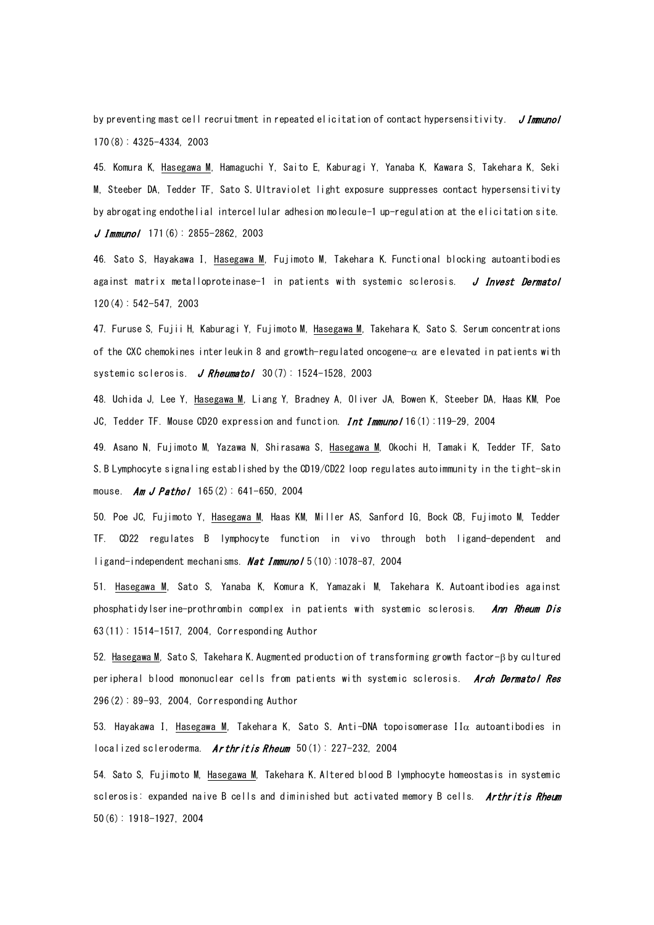by preventing mast cell recruitment in repeated elicitation of contact hypersensitivity. JImmunol 170(8): 4325-4334, 2003

45. Komura K, Hasegawa M, Hamaguchi Y, Saito E, Kaburagi Y, Yanaba K, Kawara S, Takehara K, Seki M, Steeber DA, Tedder TF, Sato S. Ultraviolet light exposure suppresses contact hypersensitivity by abrogating endothelial intercellular adhesion molecule-1 up-regulation at the elicitation site.  $J$  Immunol 171(6): 2855-2862, 2003

46. Sato S, Hayakawa I, Hasegawa M, Fujimoto M, Takehara K. Functional blocking autoantibodies against matrix metalloproteinase-1 in patients with systemic sclerosis. J Invest Dermatol 120(4): 542-547, 2003

47. Furuse S, Fujii H, Kaburagi Y, Fujimoto M, Hasegawa M, Takehara K, Sato S. Serum concentrations of the CXC chemokines interleukin 8 and growth-regulated oncogene-α are elevated in patients with systemic sclerosis. J Rheumatol  $30(7)$ : 1524-1528, 2003

48. [Uchida J, Lee Y, Hasegawa M, Liang Y, Bradney A, Oliver JA, Bowen K, Steeber DA, Haas KM, Poe](http://www.ncbi.nlm.nih.gov/entrez/query.fcgi?cmd=Retrieve&db=pubmed&dopt=Abstract&list_uids=14688067&query_hl=3)  [JC, Tedder TF.](http://www.ncbi.nlm.nih.gov/entrez/query.fcgi?cmd=Retrieve&db=pubmed&dopt=Abstract&list_uids=14688067&query_hl=3) Mouse CD20 expression and function. **Int Immuno**/16(1):119-29, 2004

49. Asano N, Fujimoto M, Yazawa N, Shirasawa S, Hasegawa M, Okochi H, Tamaki K, Tedder TF, Sato S. B Lymphocyte signaling established by the CD19/CD22 loop regulates autoimmunity in the tight-skin mouse. Am J Pathol  $165(2)$ : 641-650, 2004

50. [Poe JC, Fujimoto Y, Hasegawa M, Haas KM, Miller AS, Sanford IG, Bock CB, Fujimoto M, Tedder](http://www.ncbi.nlm.nih.gov/entrez/query.fcgi?cmd=Retrieve&db=pubmed&dopt=Abstract&list_uids=15378059&query_hl=3)  [TF.](http://www.ncbi.nlm.nih.gov/entrez/query.fcgi?cmd=Retrieve&db=pubmed&dopt=Abstract&list_uids=15378059&query_hl=3) CD22 regulates B lymphocyte function in vivo through both ligand-dependent and ligand-independent mechanisms. **Nat Immunol**  $5(10):1078-87$ , 2004

51. Hasegawa M, Sato S, Yanaba K, Komura K, Yamazaki M, Takehara K. Autoantibodies against phosphatidylserine-prothrombin complex in patients with systemic sclerosis. Ann Rheum Dis 63(11): 1514-1517, 2004, Corresponding Author

52. Hasegawa M, Sato S, Takehara K. Augmented production of transforming growth factor-β by cultured peripheral blood mononuclear cells from patients with systemic sclerosis. Arch Dermatol Res 296(2): 89-93, 2004, Corresponding Author

53. Hayakawa I, Hasegawa M, Takehara K, Sato S. Anti-DNA topoisomerase II $\alpha$  autoantibodies in localized scleroderma. Arthritis Rheum  $50(1)$ : 227-232, 2004

54. Sato S, Fujimoto M, Hasegawa M, Takehara K. Altered blood B lymphocyte homeostasis in systemic sclerosis: expanded naive B cells and diminished but activated memory B cells. Arthritis Rheum 50(6): 1918-1927, 2004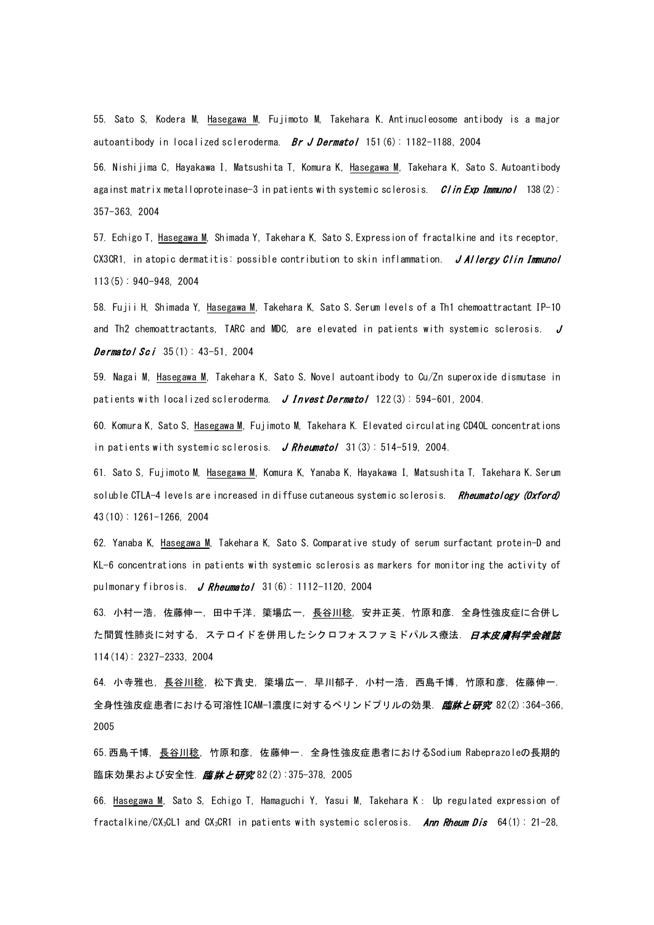55. Sato S, Kodera M, Hasegawa M, Fujimoto M, Takehara K. Antinucleosome antibody is a major autoantibody in localized scleroderma. Br J Dermatol 151(6): 1182-1188, 2004

56. Nishijima C, Hayakawa I, Matsushita T, Komura K, Hasegawa M, Takehara K, Sato S. Autoantibody against matrix metalloproteinase-3 in patients with systemic sclerosis. Clin Exp Immunol 138(2): 357-363, 2004

57. Echigo T, Hasegawa M, Shimada Y, Takehara K, Sato S. Expression of fractalkine and its receptor, CX3CR1, in atopic dermatitis: possible contribution to skin inflammation. JAIlergy Clin Immunol 113(5): 940-948, 2004

58. Fujii H, Shimada Y, Hasegawa M, Takehara K, Sato S. Serum levels of a Th1 chemoattractant IP-10 and Th2 chemoattractants, TARC and MDC, are elevated in patients with systemic sclerosis.  $J$ **Dermatol Sci**  $35(1)$ :  $43-51$ , 2004

59. Nagai M, Hasegawa M, Takehara K, Sato S. Novel autoantibody to Cu/Zn superoxide dismutase in patients with localized scleroderma. J Invest Dermatol  $122(3)$ : 594-601, 2004.

60. Komura K, Sato S, Hasegawa M, Fujimoto M, Takehara K. Elevated circulating CD40L concentrations in patients with systemic sclerosis. J Rheumatol 31(3): 514-519, 2004.

61. Sato S, Fujimoto M, Hasegawa M, Komura K, Yanaba K, Hayakawa I, Matsushita T, Takehara K. Serum soluble CTLA-4 levels are increased in diffuse cutaneous systemic sclerosis. Rheumatology (Oxford) 43(10): 1261-1266, 2004

62. Yanaba K, Hasegawa M, Takehara K, Sato S. Comparative study of serum surfactant protein-D and KL-6 concentrations in patients with systemic sclerosis as markers for monitoring the activity of pulmonary fibrosis. J Rheumatol  $31(6)$ : 1112-1120, 2004

63. 小村一浩, 佐藤伸一, 田中千洋, 簗場広一, 長谷川稔, 安井正英, 竹原和彦. 全身性強皮症に合併し た間質性肺炎に対する,ステロイドを併用したシクロフォスファミドパルス療法. *[日本皮膚科学会雑誌](http://www.jamas.or.jp/user/database/Search/detail/scode/J01174)* 114(14): 2327-2333, 2004

64. 小寺雅也, 長谷川稔, 松下貴史, 簗場広一, 早川郁子, 小村一浩, 西島千博, 竹原和彦, 佐藤伸一. 全身性強皮症患者における可溶性ICAM-1濃度に対するペリンドプリルの効果. *[臨牀と研究](http://www.jamas.or.jp/user/database/Search/detail/scode/J01556)* 82(2):364-366, 2005

65.西島千博, 長谷川稔, 竹原和彦, 佐藤伸一. 全身性強皮症患者におけるSodium Rabeprazoleの長期的 臨床効果および安全性. [臨牀と研究](http://www.jamas.or.jp/user/database/Search/detail/scode/J01556) 82(2): 375-378, 2005

66. Hasegawa M, Sato S, Echigo T, Hamaguchi Y, Yasui M, Takehara K: Up regulated expression of fractalkine/CX<sub>3</sub>CL1 and CX<sub>3</sub>CR1 in patients with systemic sclerosis. Ann Rheum Dis 64(1): 21-28,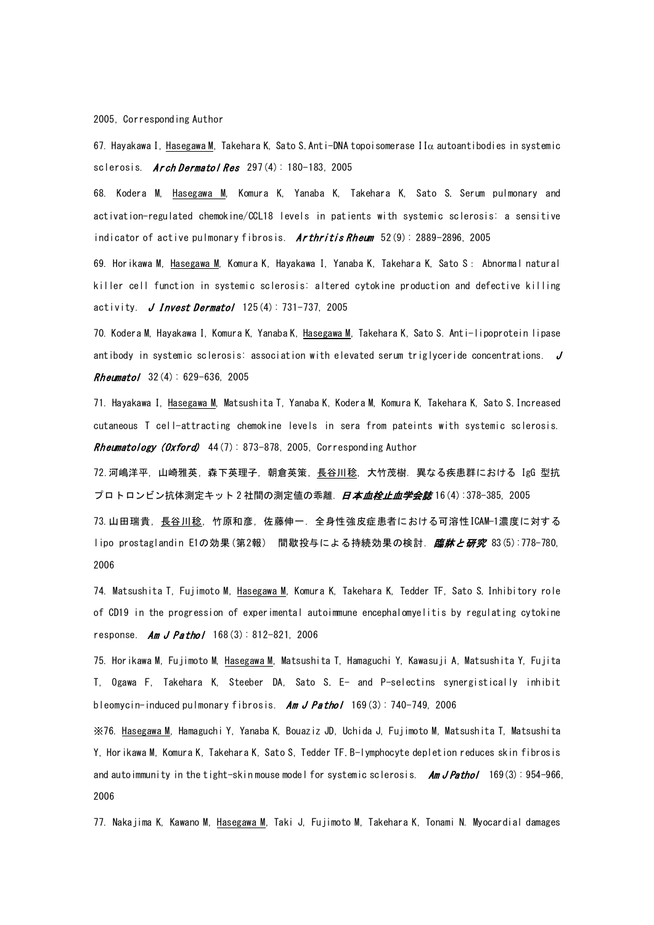2005, Corresponding Author

67. Hayakawa I, Hasegawa M, Takehara K, Sato S. Anti-DNA topoisomerase II $\alpha$  autoantibodies in systemic sclerosis. Arch Dermatol Res  $297(4): 180-183, 2005$ 

68. Kodera M, Hasegawa M, Komura K, Yanaba K, Takehara K, Sato S. Serum pulmonary and activation-regulated chemokine/CCL18 levels in patients with systemic sclerosis: a sensitive indicator of active pulmonary fibrosis.  $Arthritis Rhewm$  52(9): 2889-2896, 2005

69. Horikawa M, Hasegawa M, Komura K, Hayakawa I, Yanaba K, Takehara K, Sato S: Abnormal natural killer cell function in systemic sclerosis: altered cytokine production and defective killing activity. *J Invest Dermatol* 125(4): 731-737, 2005

70. Kodera M, Hayakawa I, Komura K, Yanaba K, Hasegawa M, Takehara K, Sato S. Anti-lipoprotein lipase antibody in systemic sclerosis: association with elevated serum triglyceride concentrations.  $J$ Rheumatol 32(4): 629-636, 2005

71. Hayakawa I, Hasegawa M, Matsushita T, Yanaba K, Kodera M, Komura K, Takehara K, Sato S. Increased cutaneous T cell-attracting chemokine levels in sera from pateints with systemic sclerosis. Rheumatology (Oxford)  $44(7)$ : 873-878, 2005, Corresponding Author

72.河嶋洋平, 山崎雅英, 森下英理子, 朝倉英策, 長谷川稔, 大竹茂樹. 異なる疾患群における IgG 型抗 プロトロンビン抗体測定キット2社間の測定値の乖離.*[日本血栓止血学会誌](http://www.jamas.or.jp/user/database/Search/detail/scode/J02561)* 16 (4) : 378-385,2005 73.山田瑞貴, 長谷川稔, 竹原和彦, 佐藤伸一. 全身性強皮症患者における可溶性ICAM-1濃度に対する lipo prostaglandin E1の効果(第2報) 間歇投与による持続効果の検討. *[臨牀と研究](http://www.jamas.or.jp/user/database/Search/detail/scode/J01556)* 83(5):778-780, 2006

74. Matsushita T, Fujimoto M, Hasegawa M, Komura K, Takehara K, Tedder TF, Sato S. Inhibitory role of CD19 in the progression of experimental autoimmune encephalomyelitis by regulating cytokine response. Am J Pathol  $168(3)$ : 812-821, 2006

75. Horikawa M, Fujimoto M, Hasegawa M, Matsushita T, Hamaguchi Y, Kawasuji A, Matsushita Y, Fujita T, Ogawa F, Takehara K, Steeber DA, Sato S. E- and P-selectins synergistically inhibit bleomycin-induced pulmonary fibrosis. Am J Pathol  $169(3)$ : 740-749, 2006

※76. Hasegawa M, Hamaguchi Y, Yanaba K, Bouaziz JD, Uchida J, Fujimoto M, Matsushita T, Matsushita Y, Horikawa M, Komura K, Takehara K, Sato S, Tedder TF. B-lymphocyte depletion reduces skin fibrosis and autoimmunity in the tight-skin mouse model for systemic sclerosis. Am J Pathol 169(3): 954-966, 2006

77. Nakajima K, Kawano M, Hasegawa M, Taki J, Fujimoto M, Takehara K, Tonami N. Myocardial damages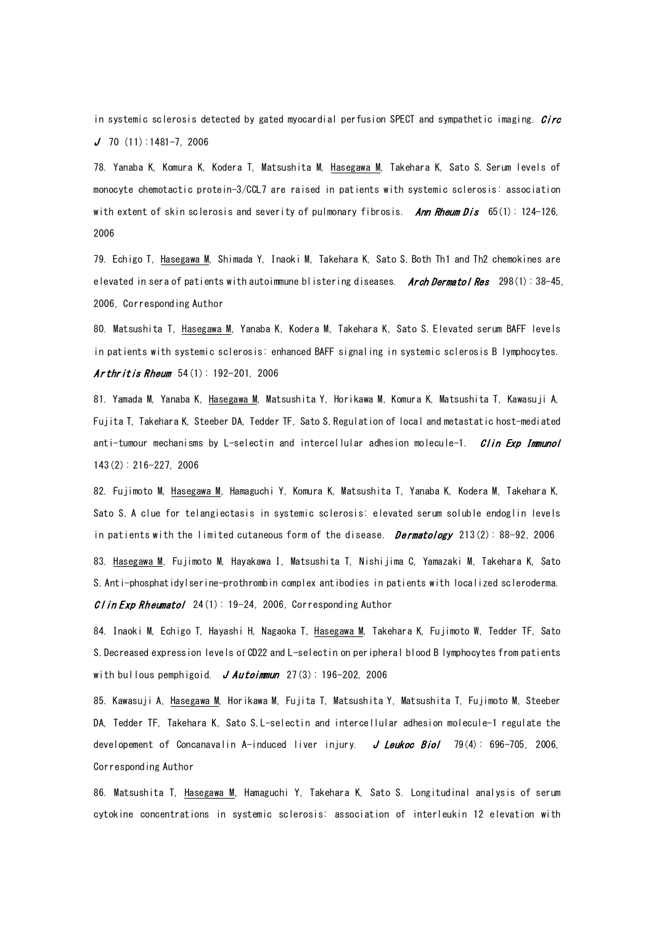in systemic sclerosis detected by gated myocardial perfusion SPECT and sympathetic imaging. *Circ*  $J$  70 (11):1481-7, 2006

78. Yanaba K, Komura K, Kodera T, Matsushita M, Hasegawa M, Takehara K, Sato S. Serum levels of monocyte chemotactic protein-3/CCL7 are raised in patients with systemic sclerosis: association with extent of skin sclerosis and severity of pulmonary fibrosis. Ann Rheum Dis  $65(1)$ : 124-126, 2006

79. Echigo T, Hasegawa M, Shimada Y, Inaoki M, Takehara K, Sato S. Both Th1 and Th2 chemokines are elevated in sera of patients with autoimmune blistering diseases. Arch Dermatol Res 298(1): 38-45, 2006, Corresponding Author

80. Matsushita T, Hasegawa M, Yanaba K, Kodera M, Takehara K, Sato S. Elevated serum BAFF levels in patients with systemic sclerosis: enhanced BAFF signaling in systemic sclerosis B lymphocytes. Ar thritis Rheum  $54(1): 192-201, 2006$ 

81. Yamada M, Yanaba K, Hasegawa M, Matsushita Y, Horikawa M, Komura K, Matsushita T, Kawasuji A, Fujita T, Takehara K, Steeber DA, Tedder TF, Sato S. Regulation of local and metastatic host-mediated anti-tumour mechanisms by L-selectin and intercellular adhesion molecule-1. *Clin Exp Immunol* 143(2): 216-227, 2006

82. Fujimoto M, Hasegawa M, Hamaguchi Y, Komura K, Matsushita T, Yanaba K, Kodera M, Takehara K, Sato S. A clue for telangiectasis in systemic sclerosis: elevated serum soluble endoglin levels in patients with the limited cutaneous form of the disease.  $\mathit{Dermatology}$  213(2): 88-92, 2006 83. Hasegawa M, Fujimoto M, Hayakawa I, Matsushita T, Nishijima C, Yamazaki M, Takehara K, Sato S. Anti-phosphatidylserine-prothrombin complex antibodies in patients with localized scleroderma. CI in Exp Rheumatol  $24(1)$ : 19-24, 2006, Corresponding Author

84. Inaoki M, Echigo T, Hayashi H, Nagaoka T, Hasegawa M, Takehara K, Fujimoto W, Tedder TF, Sato S. Decreased expression levels of CD22 and L-selectin on peripheral blood B lymphocytes from patients with bullous pemphigoid. J Autoimmun  $27(3)$ : 196-202, 2006

85. Kawasuji A, Hasegawa M, Horikawa M, Fujita T, Matsushita Y, Matsushita T, Fujimoto M, Steeber DA, Tedder TF, Takehara K, Sato S. L-selectin and intercellular adhesion molecule-1 regulate the developement of Concanavalin A-induced liver injury. J Leukoc Biol 79(4): 696-705, 2006, Corresponding Author

86. Matsushita T, Hasegawa M, Hamaguchi Y, Takehara K, Sato S. Longitudinal analysis of serum cytokine concentrations in systemic sclerosis: association of interleukin 12 elevation with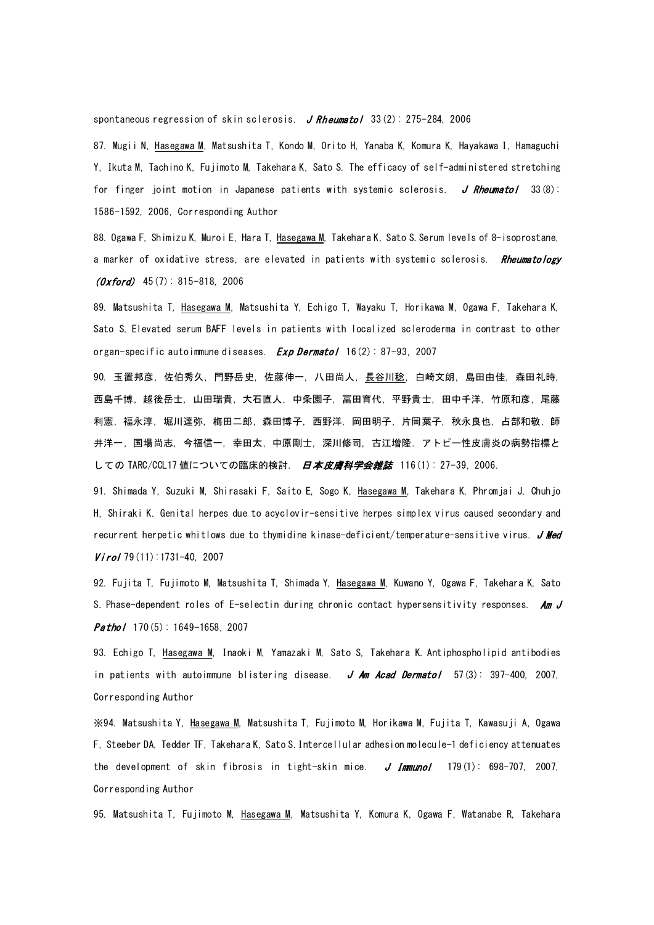spontaneous regression of skin sclerosis. J Rheumatol  $33(2)$ : 275-284, 2006

87. Mugii N, Hasegawa M, Matsushita T, Kondo M, Orito H, Yanaba K, Komura K, Hayakawa I, Hamaguchi Y, Ikuta M, Tachino K, Fujimoto M, Takehara K, Sato S. The efficacy of self-administered stretching for finger joint motion in Japanese patients with systemic sclerosis. J Rheumatol 33(8): 1586-1592, 2006, Corresponding Author

88. Ogawa F, Shimizu K, Muroi E, Hara T, Hasegawa M, Takehara K, Sato S. Serum levels of 8-isoprostane, a marker of oxidative stress, are elevated in patients with systemic sclerosis. Rheumatology  $(0 \times$ ford) 45(7): 815-818, 2006

89. Matsushita T, Hasegawa M, Matsushita Y, Echigo T, Wayaku T, Horikawa M, Ogawa F, Takehara K, Sato S. Elevated serum BAFF levels in patients with localized scleroderma in contrast to other organ-specific autoimmune diseases.  $Exp\,Bernatol$  16(2): 87-93, 2007

90. 玉置邦彦, 佐伯秀久, 門野岳史, 佐藤伸一, 八田尚人, 長谷川稔, 白崎文朗, 島田由佳, 森田礼時, 西島千博, 越後岳士, 山田瑞貴, 大石直人, 中条園子, 冨田育代, 平野貴士, 田中千洋, 竹原和彦, 尾藤 利憲, 福永淳, 堀川達弥, 梅田二郎, 森田博子, 西野洋, 岡田明子, 片岡葉子, 秋永良也, 占部和敬, 師 井洋一, 国場尚志, 今福信一, 幸田太, 中原剛士, 深川修司, 古江増隆. アトピー性皮膚炎の病勢指標と しての TARC/CCL17 値についての臨床的検討. 日本皮膚科学会雑誌 116(1): 27-39, 2006.

91. Shimada Y, Suzuki M, Shirasaki F, Saito E, Sogo K, Hasegawa M, Takehara K, Phromjai J, Chuhjo H, Shiraki K. Genital herpes due to acyclovir-sensitive herpes simplex virus caused secondary and recurrent herpetic whitlows due to thymidine kinase-deficient/temperature-sensitive virus. J Med  $Viro/79(11):1731-40, 2007$ 

92. Fujita T, Fujimoto M, Matsushita T, Shimada Y, Hasegawa M, Kuwano Y, Ogawa F, Takehara K, Sato S. Phase-dependent roles of E-selectin during chronic contact hypersensitivity responses. Am  $J$ **Pathol** 170 $(5)$ : 1649-1658, 2007

93. Echigo T, Hasegawa M, Inaoki M, Yamazaki M, Sato S, Takehara K. Antiphospholipid antibodies in patients with autoimmune blistering disease. J Am Acad Dermatol  $57(3)$ : 397-400, 2007, Corresponding Author

※94. Matsushita Y, Hasegawa M, Matsushita T, Fujimoto M, Horikawa M, Fujita T, Kawasuji A, Ogawa F, Steeber DA, Tedder TF, Takehara K, Sato S. Intercellular adhesion molecule-1 deficiency attenuates the development of skin fibrosis in tight-skin mice. J Immunol  $179(1)$ : 698-707, 2007, Corresponding Author

95. Matsushita T, Fujimoto M, Hasegawa M, Matsushita Y, Komura K, Ogawa F, Watanabe R, Takehara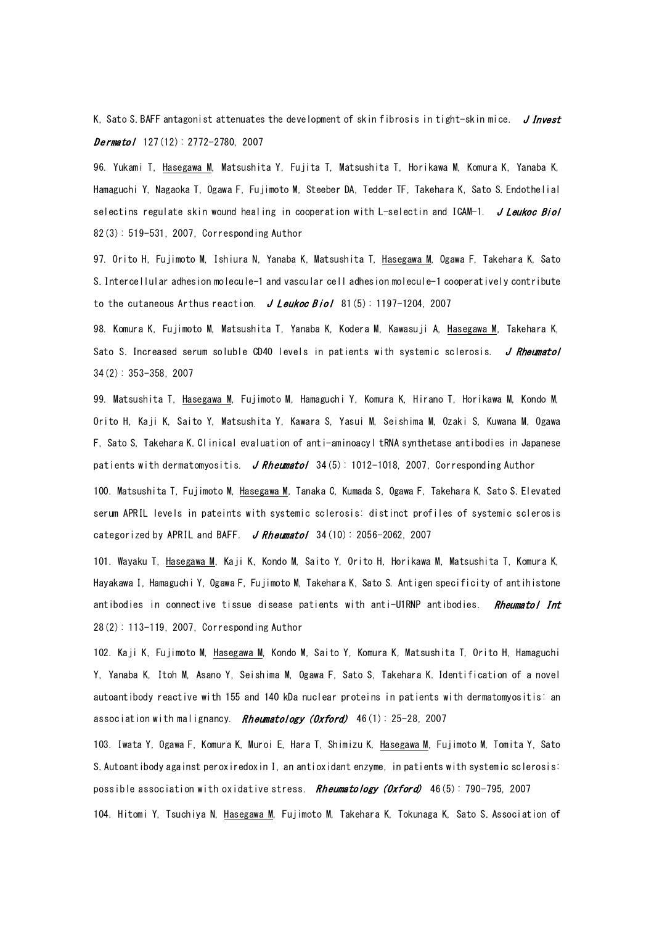K, Sato S. BAFF antagonist attenuates the development of skin fibrosis in tight-skin mice.  $J$  Invest  $Dermatol$  127(12): 2772-2780, 2007

96. Yukami T, Hasegawa M, Matsushita Y, Fujita T, Matsushita T, Horikawa M, Komura K, Yanaba K, Hamaguchi Y, Nagaoka T, Ogawa F, Fujimoto M, Steeber DA, Tedder TF, Takehara K, Sato S. Endothelial selectins regulate skin wound healing in cooperation with  $L$ -selectin and ICAM-1. J Leukoc Biol 82(3): 519-531, 2007, Corresponding Author

97. Orito H, Fujimoto M, Ishiura N, Yanaba K, Matsushita T, Hasegawa M, Ogawa F, Takehara K, Sato S. Intercellular adhesion molecule-1 and vascular cell adhesion molecule-1 cooperatively contribute to the cutaneous Arthus reaction.  $J$  Leukoc Biol 81(5): 1197-1204, 2007

98. Komura K, Fujimoto M, Matsushita T, Yanaba K, Kodera M, Kawasuji A, Hasegawa M, Takehara K, Sato S. Increased serum soluble CD40 levels in patients with systemic sclerosis. J Rheumatol 34(2): 353-358, 2007

99. Matsushita T, Hasegawa M, Fujimoto M, Hamaguchi Y, Komura K, Hirano T, Horikawa M, Kondo M, Orito H, Kaji K, Saito Y, Matsushita Y, Kawara S, Yasui M, Seishima M, Ozaki S, Kuwana M, Ogawa F, Sato S, Takehara K. Clinical evaluation of anti-aminoacyl tRNA synthetase antibodies in Japanese patients with dermatomyositis. J Rheumatol  $34(5)$ : 1012-1018, 2007, Corresponding Author

100. Matsushita T, Fujimoto M, Hasegawa M, Tanaka C, Kumada S, Ogawa F, Takehara K, Sato S. Elevated serum APRIL levels in pateints with systemic sclerosis: distinct profiles of systemic sclerosis categorized by APRIL and BAFF.  $J$  Rheumatol 34(10): 2056-2062, 2007

101. Wayaku T, Hasegawa M, Kaji K, Kondo M, Saito Y, Orito H, Horikawa M, Matsushita T, Komura K, Hayakawa I, Hamaguchi Y, Ogawa F, Fujimoto M, Takehara K, Sato S. Antigen specificity of antihistone antibodies in connective tissue disease patients with anti-U1RNP antibodies. Rheumatol Int 28(2): 113-119, 2007, Corresponding Author

102. Kaji K, Fujimoto M, Hasegawa M, Kondo M, Saito Y, Komura K, Matsushita T, Orito H, Hamaguchi Y, Yanaba K, Itoh M, Asano Y, Seishima M, Ogawa F, Sato S, Takehara K. Identification of a novel autoantibody reactive with 155 and 140 kDa nuclear proteins in patients with dermatomyositis: an association with malignancy. Rheumatology (Oxford)  $46(1): 25-28, 2007$ 

103. Iwata Y, Ogawa F, Komura K, Muroi E, Hara T, Shimizu K, Hasegawa M, Fujimoto M, Tomita Y, Sato S. Autoantibody against peroxiredoxin I, an antioxidant enzyme, in patients with systemic sclerosis: possible association with oxidative stress. Rheumatology (Oxford) 46(5): 790-795, 2007 104. Hitomi Y, Tsuchiya N, Hasegawa M, Fujimoto M, Takehara K, Tokunaga K, Sato S. Association of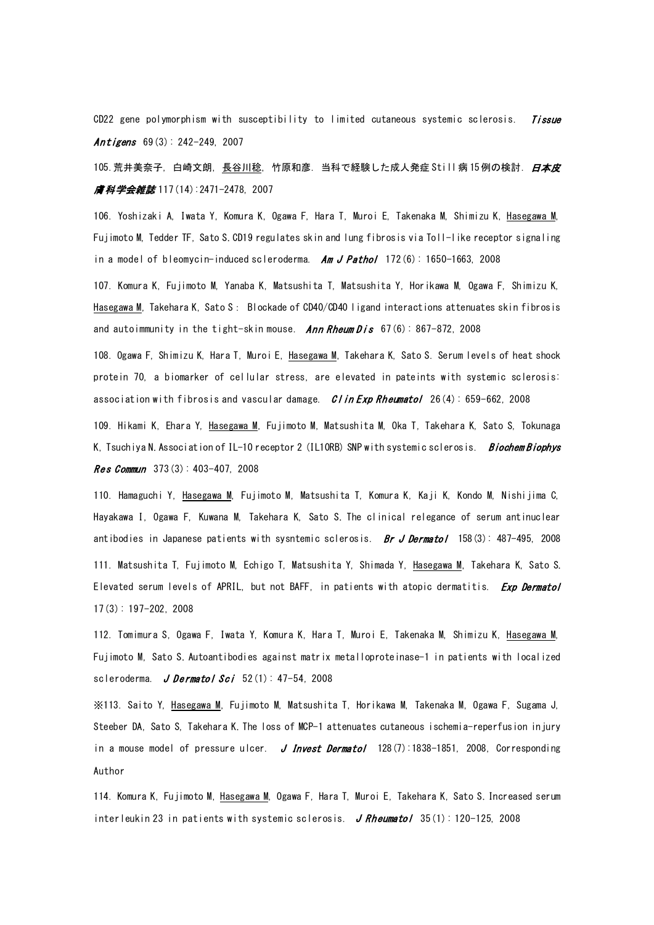CD22 gene polymorphism with susceptibility to limited cutaneous systemic sclerosis. *Tissue* Antigens  $69(3): 242 - 249$ , 2007

105. 荒井美奈子,白崎文朗,長谷川稔,竹原和彦.当科で経験した成人発症 Still 病 15 例の検討. *[日本皮](http://www.jamas.or.jp/user/database/Search/detail/scode/J01174) [膚科学会雑誌](http://www.jamas.or.jp/user/database/Search/detail/scode/J01174)* 117(14):2471-2478, 2007

106. Yoshizaki A, Iwata Y, Komura K, Ogawa F, Hara T, Muroi E, Takenaka M, Shimizu K, Hasegawa M, Fujimoto M, Tedder TF, Sato S. CD19 regulates skin and lung fibrosis via Toll-like receptor signaling in a model of bleomycin-induced scleroderma.  $Am$  J Pathol 172(6): 1650-1663, 2008

107. Komura K, Fujimoto M, Yanaba K, Matsushita T, Matsushita Y, Horikawa M, Ogawa F, Shimizu K, Hasegawa M, Takehara K, Sato S: Blockade of CD40/CD40 ligand interactions attenuates skin fibrosis and autoimmunity in the tight-skin mouse. Ann Rheum  $Dis 67(6): 867-872$ , 2008

108. Ogawa F, Shimizu K, Hara T, Muroi E, Hasegawa M, Takehara K, Sato S. Serum levels of heat shock protein 70, a biomarker of cellular stress, are elevated in pateints with systemic sclerosis: association with fibrosis and vascular damage.  $C$  in Exp Rheumatol 26(4): 659-662, 2008

109. Hikami K, Ehara Y, Hasegawa M, Fujimoto M, Matsushita M, Oka T, Takehara K, Sato S, Tokunaga K. Tsuchiya N. Association of IL-10 receptor 2 (IL10RB) SNP with systemic sclerosis. Biochem Biophys **Res Commun**  $373(3): 403-407, 2008$ 

110. Hamaguchi Y, Hasegawa M, Fujimoto M, Matsushita T, Komura K, Kaji K, Kondo M, Nishijima C, Hayakawa I, Ogawa F, Kuwana M, Takehara K, Sato S. The clinical relegance of serum antinuclear antibodies in Japanese patients with sysntemic sclerosis. Br J Dermatol 158(3): 487-495, 2008 111. Matsushita T, Fujimoto M, Echigo T, Matsushita Y, Shimada Y, Hasegawa M, Takehara K, Sato S. Elevated serum levels of APRIL, but not BAFF, in patients with atopic dermatitis. *Exp Dermatol* 17(3): 197-202, 2008

112. Tomimura S, Ogawa F, Iwata Y, Komura K, Hara T, Muroi E, Takenaka M, Shimizu K, Hasegawa M, Fujimoto M, Sato S. Autoantibodies against matrix metalloproteinase-1 in patients with localized scleroderma. J Dermatol Sci  $52(1)$ : 47-54, 2008

※113. Saito Y, Hasegawa M, Fujimoto M, Matsushita T, Horikawa M, Takenaka M, Ogawa F, Sugama J, Steeber DA, Sato S, Takehara K. The loss of MCP-1 attenuates cutaneous ischemia-reperfusion injury in a mouse model of pressure ulcer. J Invest Dermatol  $128(7)$ :1838-1851, 2008, Corresponding Author

114. Komura K, Fujimoto M, Hasegawa M, Ogawa F, Hara T, Muroi E, Takehara K, Sato S. Increased serum interleukin 23 in patients with systemic sclerosis. J Rheumatol  $35(1)$ : 120-125, 2008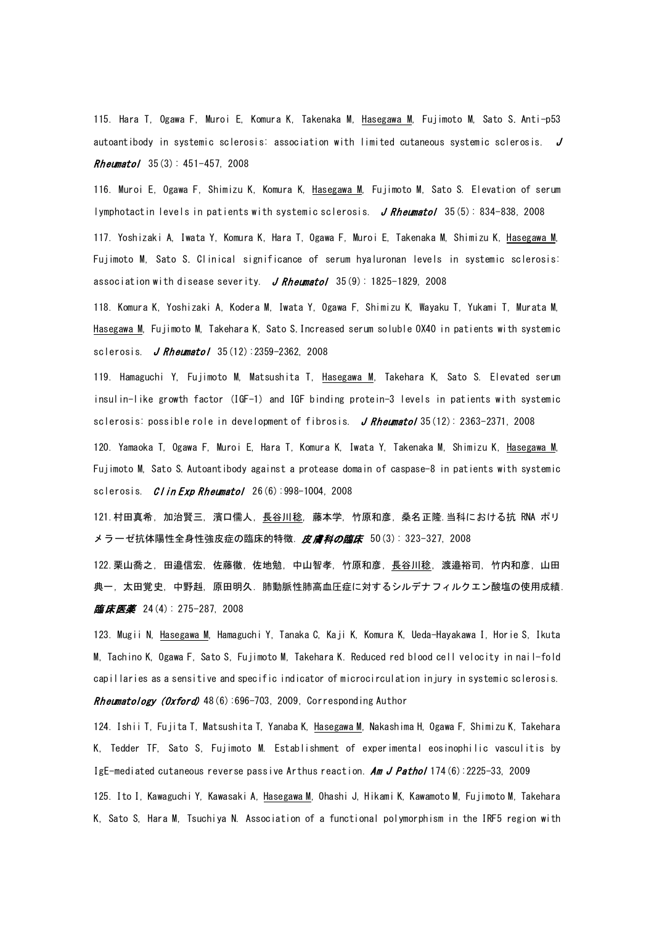115. Hara T, Ogawa F, Muroi E, Komura K, Takenaka M, Hasegawa M, Fujimoto M, Sato S. Anti-p53 autoantibody in systemic sclerosis: association with limited cutaneous systemic sclerosis.  $J$ Rheumatol 35(3): 451-457, 2008

116. Muroi E, Ogawa F, Shimizu K, Komura K, Hasegawa M, Fujimoto M, Sato S. Elevation of serum lymphotactin levels in patients with systemic sclerosis. J Rheumatol 35(5): 834-838, 2008

117. Yoshizaki A, Iwata Y, Komura K, Hara T, Ogawa F, Muroi E, Takenaka M, Shimizu K, Hasegawa M, Fujimoto M, Sato S. Clinical significance of serum hyaluronan levels in systemic sclerosis: association with disease severity. J Rheumatol 35(9): 1825-1829, 2008

118. Komura K, Yoshizaki A, Kodera M, Iwata Y, Ogawa F, Shimizu K, Wayaku T, Yukami T, Murata M, Hasegawa M, Fujimoto M, Takehara K, Sato S. Increased serum soluble OX40 in patients with systemic sclerosis. **J Rheumatol**  $35(12):2359-2362, 2008$ 

119. Hamaguchi Y, Fujimoto M, Matsushita T, Hasegawa M, Takehara K, Sato S. Elevated serum insulin-like growth factor (IGF-1) and IGF binding protein-3 levels in patients with systemic sclerosis: possible role in development of fibrosis. J Rheumatol  $35(12)$ : 2363-2371, 2008

120. Yamaoka T, Ogawa F, Muroi E, Hara T, Komura K, Iwata Y, Takenaka M, Shimizu K, Hasegawa M, Fujimoto M, Sato S. Autoantibody against a protease domain of caspase-8 in patients with systemic sclerosis.  $C$ l in Exp Rheumatol 26(6):998-1004, 2008

121.村田真希, 加治賢三, 濱口儒人, 長谷川稔, 藤本学, 竹原和彦, 桑名正隆.当科における抗 RNA ポリ メラーゼ抗体陽性全身性強皮症の臨床的特徴. 皮*膚科の臨床* 50(3): 323-327, 2008

122.栗山喬之,田邉信宏,佐藤徹,佐地勉,中山智孝,竹原和彦,<u>長谷川稔</u>,渡邉裕司,竹内和彦,山田 典一, 太田覚史, 中野赳, 原田明久. 肺動脈性肺高血圧症に対するシルデナフィルクエン酸塩の使用成績. **臨床医薬** 24(4): 275-287, 2008

123. Mugii N, Hasegawa M, Hamaguchi Y, Tanaka C, Kaji K, Komura K, Ueda-Hayakawa I, Horie S, Ikuta M, Tachino K, Ogawa F, Sato S, Fujimoto M, Takehara K. Reduced red blood cell velocity in nail-fold capillaries as a sensitive and specific indicator of microcirculation injury in systemic sclerosis.

Rheumatology (Oxford) 48(6):696-703, 2009, Corresponding Author

124. Ishii T, Fujita T, Matsushita T, Yanaba K, Hasegawa M, Nakashima H, Ogawa F, Shimizu K, Takehara K, Tedder TF, Sato S, Fujimoto M. Establishment of experimental eosinophilic vasculitis by IgE-mediated cutaneous reverse passive Arthus reaction. Am J Pathol 174(6):2225-33, 2009

125. Ito I, Kawaguchi Y, Kawasaki A, Hasegawa M, Ohashi J, Hikami K, Kawamoto M, Fujimoto M, Takehara K, Sato S, Hara M, Tsuchiya N. Association of a functional polymorphism in the IRF5 region with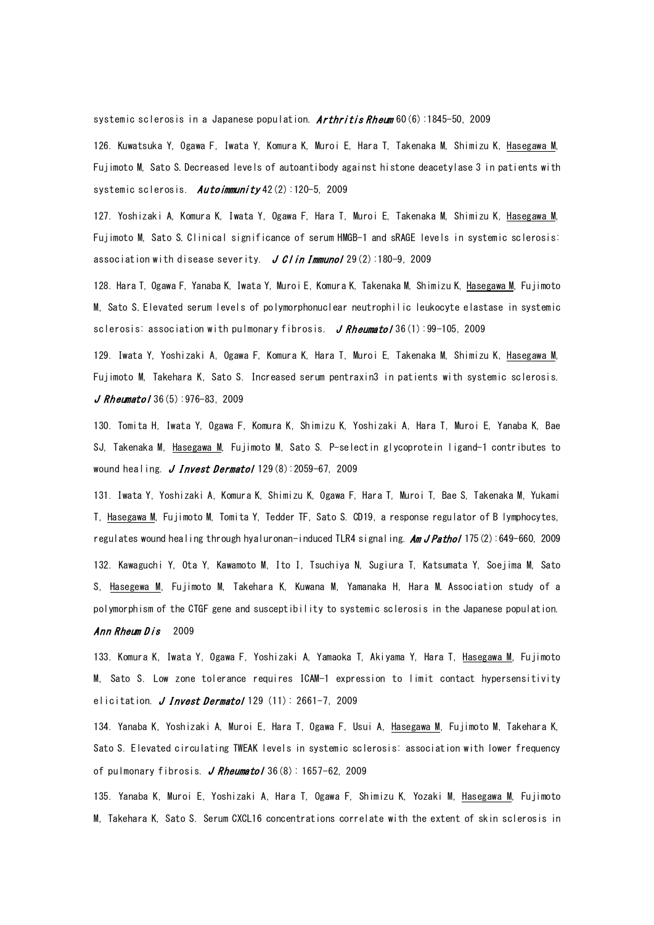systemic sclerosis in a Japanese population.  $Arthritis Rhewm$  60(6):1845-50, 2009

126. Kuwatsuka Y, Ogawa F, Iwata Y, Komura K, Muroi E, Hara T, Takenaka M, Shimizu K, Hasegawa M, Fujimoto M, Sato S. Decreased levels of autoantibody against histone deacetylase 3 in patients with systemic sclerosis. Autoimmunity 42(2):120-5, 2009

127. Yoshizaki A, Komura K, Iwata Y, Ogawa F, Hara T, Muroi E, Takenaka M, Shimizu K, Hasegawa M, Fujimoto M, Sato S. Clinical significance of serum HMGB-1 and sRAGE levels in systemic sclerosis: association with disease severity.  $J$  C/in Immunol 29(2):180-9, 2009

128. Hara T, Ogawa F, Yanaba K, Iwata Y, Muroi E, Komura K, Takenaka M, Shimizu K, Hasegawa M, Fujimoto M, Sato S. Elevated serum levels of polymorphonuclear neutrophilic leukocyte elastase in systemic sclerosis: association with pulmonary fibrosis. J Rheumatol 36(1):99-105, 2009

129. Iwata Y, Yoshizaki A, Ogawa F, Komura K, Hara T, Muroi E, Takenaka M, Shimizu K, Hasegawa M, Fujimoto M, Takehara K, Sato S. Increased serum pentraxin3 in patients with systemic sclerosis.  $J$  Rheumatol 36(5): 976-83, 2009

130. Tomita H, Iwata Y, Ogawa F, Komura K, Shimizu K, Yoshizaki A, Hara T, Muroi E, Yanaba K, Bae SJ, Takenaka M, Hasegawa M, Fujimoto M, Sato S. P-selectin glycoprotein ligand-1 contributes to wound healing. J Invest Dermatol  $129(8)$ : 2059-67, 2009

131. Iwata Y, Yoshizaki A, Komura K, Shimizu K, Ogawa F, Hara T, Muroi T, Bae S, Takenaka M, Yukami T, Hasegawa M, Fujimoto M, Tomita Y, Tedder TF, Sato S. CD19, a response regulator of B lymphocytes, regulates wound healing through hyaluronan-induced TLR4 signaling. **Am J Pathol** 175(2):649-660, 2009 132. Kawaguchi Y, Ota Y, Kawamoto M, Ito I, Tsuchiya N, Sugiura T, Katsumata Y, Soejima M, Sato S, Hasegewa M, Fujimoto M, Takehara K, Kuwana M, Yamanaka H, Hara M. Association study of a polymorphism of the CTGF gene and susceptibility to systemic sclerosis in the Japanese population.

## Ann Rheum Dis 2009

133. Komura K, Iwata Y, Ogawa F, Yoshizaki A, Yamaoka T, Akiyama Y, Hara T, Hasegawa M, Fujimoto M, Sato S. Low zone tolerance requires ICAM-1 expression to limit contact hypersensitivity elicitation. J Invest Dermatol 129  $(11)$ : 2661-7, 2009

134. Yanaba K, Yoshizaki A, Muroi E, Hara T, Ogawa F, Usui A, Hasegawa M, Fujimoto M, Takehara K, Sato S. Elevated circulating TWEAK levels in systemic sclerosis: association with lower frequency of pulmonary fibrosis. J Rheumatol 36 $(8)$ : 1657-62, 2009

135. Yanaba K, Muroi E, Yoshizaki A, Hara T, Ogawa F, Shimizu K, Yozaki M, Hasegawa M, Fujimoto M, Takehara K, Sato S. Serum CXCL16 concentrations correlate with the extent of skin sclerosis in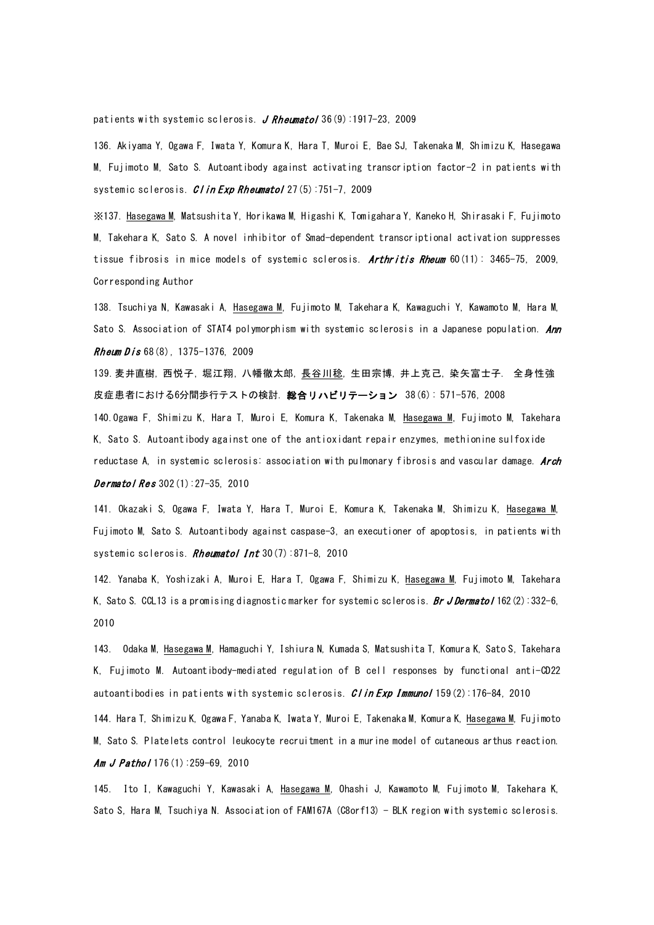patients with systemic sclerosis. J Rheumatol 36 $(9)$ :1917-23, 2009

136. Akiyama Y, Ogawa F, Iwata Y, Komura K, Hara T, Muroi E, Bae SJ, Takenaka M, Shimizu K, Hasegawa M, Fujimoto M, Sato S. Autoantibody against activating transcription factor-2 in patients with systemic sclerosis. *CI in Exp Rheumatol* 27(5):751-7, 2009

※137. Hasegawa M, Matsushita Y, Horikawa M, Higashi K, Tomigahara Y, Kaneko H, Shirasaki F, Fujimoto M, Takehara K, Sato S. A novel inhibitor of Smad-dependent transcriptional activation suppresses tissue fibrosis in mice models of systemic sclerosis. Arthritis Rheum 60(11): 3465-75, 2009, Corresponding Author

138. Tsuchiya N, Kawasaki A, Hasegawa M, Fujimoto M, Takehara K, Kawaguchi Y, Kawamoto M, Hara M, Sato S. Association of STAT4 polymorphism with systemic sclerosis in a Japanese population. Ann **Rheum Dis 68(8), 1375-1376, 2009** 

139.[麦井直樹](http://search.jamas.or.jp/api/opensearch?q=%5B%94%9E%88%E4%92%BC%8E%F7%5D/AU), [西悦子](http://search.jamas.or.jp/api/opensearch?q=%5B%90%BC%89x%8Eq%5D/AU), [堀江翔](http://search.jamas.or.jp/api/opensearch?q=%5B%96x%8D%5D%E3%C4%5D/AU), [八幡徹太郎](http://search.jamas.or.jp/api/opensearch?q=%5B%94%AA%94%A6%93O%91%BE%98Y%5D/AU), [長谷川稔](http://search.jamas.or.jp/api/opensearch?q=%5B%92%B7%92J%90%EC%96%AB%5D/AU), [生田宗博](http://search.jamas.or.jp/api/opensearch?q=%5B%90%B6%93c%8F%40%94%8E%5D/AU), [井上克己](http://search.jamas.or.jp/api/opensearch?q=%5B%88%E4%8F%E3%8D%8E%8C%C8%5D/AU), [染矢富士子](http://search.jamas.or.jp/api/opensearch?q=%5B%90%F5%96%EE%95x%8Em%8Eq%5D/AU). 全身性強 皮症患者における6分間歩行テストの検討. 総合リハビリテーション 38(6): 571-576, 2008 140.Ogawa F, Shimizu K, Hara T, Muroi E, Komura K, Takenaka M, Hasegawa M, Fujimoto M, Takehara K, Sato S. Autoantibody against one of the antioxidant repair enzymes, methionine sulfoxide

reductase A, in systemic sclerosis: association with pulmonary fibrosis and vascular damage. Arch **Dermatol Res**  $302(1):27-35, 2010$ 

141. Okazaki S, Ogawa F, Iwata Y, Hara T, Muroi E, Komura K, Takenaka M, Shimizu K, Hasegawa M, Fujimoto M, Sato S. Autoantibody against caspase-3, an executioner of apoptosis, in patients with systemic sclerosis. Rheumatol Int 30(7):871-8, 2010

142. Yanaba K, Yoshizaki A, Muroi E, Hara T, Ogawa F, Shimizu K, Hasegawa M, Fujimoto M, Takehara K, Sato S. CCL13 is a promising diagnostic marker for systemic sclerosis. Br J Dermatol 162(2):332-6, 2010

143. Odaka M, Hasegawa M, Hamaguchi Y, Ishiura N, Kumada S, Matsushita T, Komura K, Sato S, Takehara K, Fujimoto M. Autoantibody-mediated regulation of B cell responses by functional anti-CD22 autoantibodies in patients with systemic sclerosis.  $C / in Exp$  Immunol 159(2):176-84, 2010

144. Hara T, Shimizu K, Ogawa F, Yanaba K, Iwata Y, Muroi E, Takenaka M, Komura K, Hasegawa M, Fujimoto M, Sato S. Platelets control leukocyte recruitment in a murine model of cutaneous arthus reaction. [Am J Pathol](javascript:AL_get(this,%20) 176(1):259-69, 2010

145. Ito I, Kawaguchi Y, Kawasaki A, Hasegawa M, Ohashi J, Kawamoto M, Fujimoto M, Takehara K, Sato S, Hara M, Tsuchiya N. Association of FAM167A (C8orf13) - BLK region with systemic sclerosis.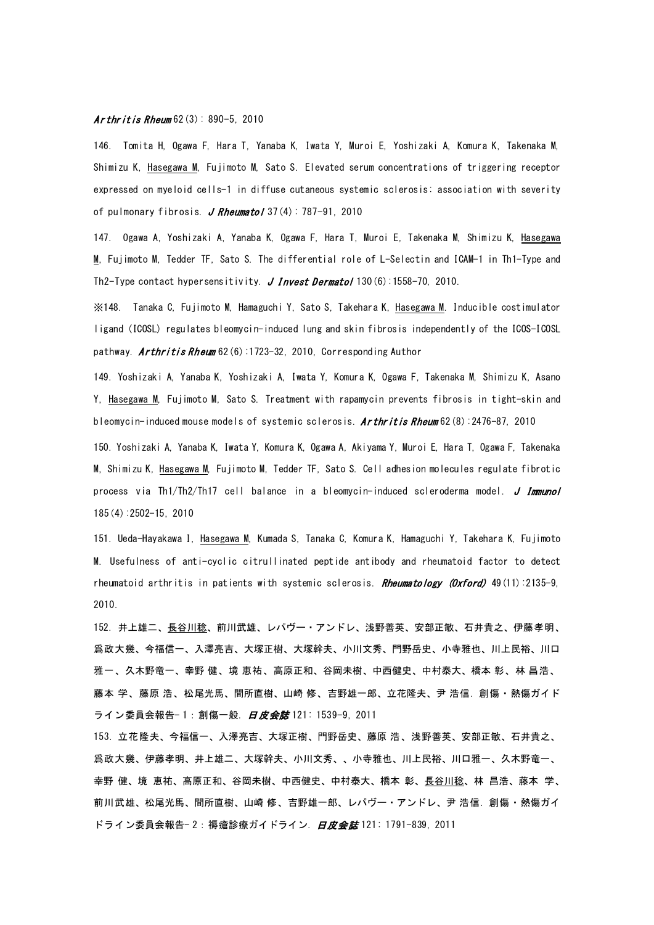## **Ar [thritis R](javascript:AL_get(this,%20)heum**  $62(3): 890-5, 2010$

146. Tomita H, Ogawa F, Hara T, Yanaba K, Iwata Y, Muroi E, Yoshizaki A, Komura K, Takenaka M, Shimizu K, Hasegawa M, Fujimoto M, Sato S. Elevated serum concentrations of triggering receptor expressed on myeloid cells-1 in diffuse cutaneous systemic sclerosis: association with severity of pulmonary fibrosis. J Rheumatol  $37(4)$ : 787-91, 2010

147. Ogawa A, Yoshizaki A, Yanaba K, Ogawa F, Hara T, Muroi E, Takenaka M, Shimizu K, Hasegawa M, Fujimoto M, Tedder TF, Sato S. The differential role of L-Selectin and ICAM-1 in Th1-Type and Th2-Type contact hypersensitivity. J I[nvest D](javascript:AL_get(this,%20)ermatol  $130(6)$ : 1558-70, 2010.

※148. Tanaka C, Fujimoto M, Hamaguchi Y, Sato S, Takehara K, Hasegawa M. Inducible costimulator ligand (ICOSL) regulates bleomycin-induced lung and skin fibrosis independently of the ICOS-ICOSL pathway. **Arthritis Rheum** 62(6):1723-32, 2010, Corresponding Author

149. Yoshizaki A, Yanaba K, Yoshizaki A, Iwata Y, Komura K, Ogawa F, Takenaka M, Shimizu K, Asano Y, Hasegawa M, Fujimoto M, Sato S. Treatment with rapamycin prevents fibrosis in tight-skin and bleomycin-induced mouse models of systemic sclerosis. Ar[thritis R](javascript:AL_get(this,%20)heum 62(8):2476-87, 2010

150. Yoshizaki A, Yanaba K, Iwata Y, Komura K, Ogawa A, Akiyama Y, Muroi E, Hara T, Ogawa F, Takenaka M, Shimizu K, Hasegawa M, Fujimoto M, Tedder TF, Sato S. Cell adhesion molecules regulate fibrotic process via Th1/Th2/Th17 cell balance in a bleomycin-induced scleroderma model. [J Immunol](javascript:AL_get(this,%20) 185(4):2502-15, 2010

151. Ueda-Hayakawa I, Hasegawa M, Kumada S, Tanaka C, Komura K, Hamaguchi Y, Takehara K, Fujimoto M. Usefulness of anti-cyclic citrullinated peptide antibody and rheumatoid factor to detect rheumatoid arthritis in patients with systemic sclerosis. [Rheumatology \(Oxford\)](javascript:AL_get(this,%20) 49(11):2135-9, 2010.

152. 井上雄二、<u>長谷川稔</u>、前川武雄、レパヴー・アンドレ、浅野善英、安部正敏、石井貴之、伊藤孝明、 爲政大幾、今福信一、入澤亮吉、大塚正樹、大塚幹夫、小川文秀、門野岳史、小寺雅也、川上民裕、川口 雅一、久木野竜一、幸野 健、境 恵祐、高原正和、谷岡未樹、中西健史、中村泰大、橋本 彰、林 昌浩、 藤本 学、藤原 浩、松尾光馬、間所直樹、山崎 修、吉野雄一郎、立花隆夫、尹 浩信. 創傷・熱傷ガイド ライン委員会報告- 1 : 創傷一般. 日皮会誌 121: 1539-9, 2011

153. 立花隆夫、今福信一、入澤亮吉、大塚正樹、門野岳史、藤原 浩、浅野善英、安部正敏、石井貴之、 爲政大幾、伊藤孝明、井上雄二、大塚幹夫、小川文秀、、小寺雅也、川上民裕、川口雅一、久木野竜一、 幸野 健、境 恵祐、高原正和、谷岡未樹、中西健史、中村泰大、橋本 彰、<u>長谷川稔</u>、林 昌浩、藤本 学、 前川武雄、松尾光馬、間所直樹、山崎 修、吉野雄一郎、レパヴー・アンドレ、尹 浩信. 創傷・熱傷ガイ ドライン委員会報告- 2:褥瘡診療ガイドライン. 日皮会誌 121: 1791-839, 2011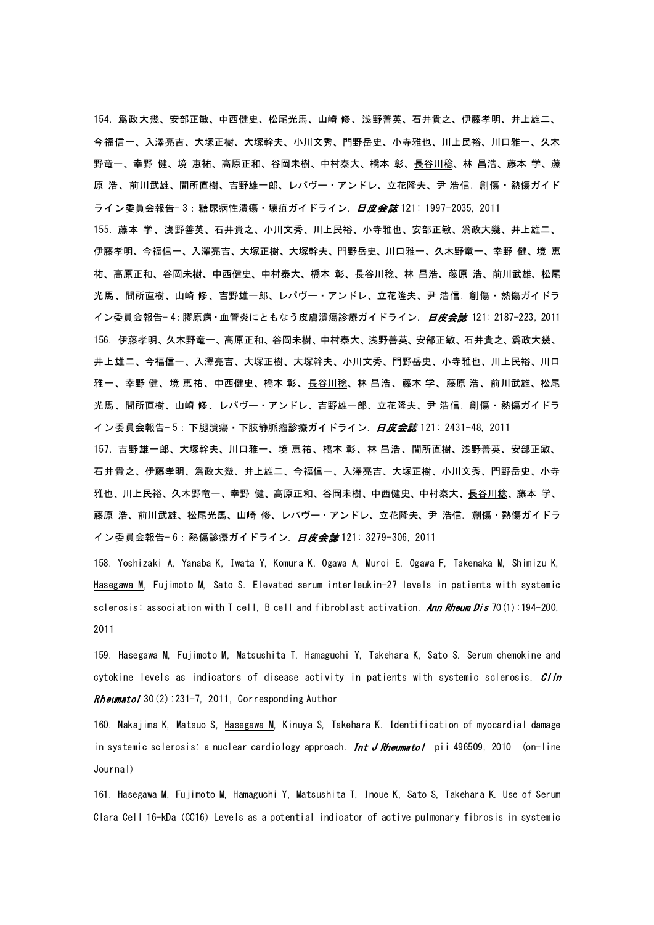154. 爲政大幾、安部正敏、中西健史、松尾光馬、山崎 修、浅野善英、石井貴之、伊藤孝明、井上雄二、 今福信一、入澤亮吉、大塚正樹、大塚幹夫、小川文秀、門野岳史、小寺雅也、川上民裕、川口雅一、久木 野竜一、幸野 健、境 恵祐、高原正和、谷岡未樹、中村泰大、橋本 彰、長谷川稔、林 昌浩、藤本 学、藤 原 浩、前川武雄、間所直樹、吉野雄一郎、レパヴー・アンドレ、立花隆夫、尹 浩信. 創傷・熱傷ガイド ライン委員会報告- 3:糖尿病性潰瘍・壊疽ガイドライン. *日皮会誌* 121: 1997-2035, 2011 155. 藤本 学、浅野善英、石井貴之、小川文秀、川上民裕、小寺雅也、安部正敏、爲政大幾、井上雄二、 伊藤孝明、今福信一、入澤亮吉、大塚正樹、大塚幹夫、門野岳史、川口雅一、久木野竜一、幸野 健、境 恵 祐、高原正和、谷岡未樹、中西健史、中村泰大、橋本 彰、長谷川稔、林 昌浩、藤原 浩、前川武雄、松尾 光馬、間所直樹、山崎 修、吉野雄一郎、レパヴー・アンドレ、立花隆夫、尹 浩信. 創傷・熱傷ガイドラ イン委員会報告− 4: 膠原病 • 血管炎にともなう皮膚潰瘍診療ガイドライン. *日皮会誌* 121: 2187-223, 2011 156. 伊藤孝明、久木野竜一、高原正和、谷岡未樹、中村泰大、浅野善英、安部正敏、石井貴之、爲政大幾、 井上雄二、今福信一、入澤亮吉、大塚正樹、大塚幹夫、小川文秀、門野岳史、小寺雅也、川上民裕、川口 雅一、幸野 健、境 恵祐、中西健史、橋本 彰、長谷川稔、林 昌浩、藤本 学、藤原 浩、前川武雄、松尾 光馬、間所直樹、山崎 修、レパヴー・アンドレ、吉野雄一郎、立花隆夫、尹 浩信. 創傷・熱傷ガイドラ イン委員会報告- 5:下腿潰瘍・下肢静脈瘤診療ガイドライン. *日皮会誌* 121: 2431-48, 2011

157. 吉野雄一郎、大塚幹夫、川口雅一、境 恵祐、橋本 彰、林 昌浩、間所直樹、浅野善英、安部正敏、 石井貴之、伊藤孝明、爲政大幾、井上雄二、今福信一、入澤亮吉、大塚正樹、小川文秀、門野岳史、小寺 雅也、川上民裕、久木野竜一、幸野 健、高原正和、谷岡未樹、中西健史、中村泰大、長谷川稔、藤本 学、 藤原 浩、前川武雄、松尾光馬、山崎 修、レパヴー・アンドレ、立花隆夫、尹 浩信. 創傷・熱傷ガイドラ イン委員会報告- 6:熱傷診療ガイドライン. 日皮会誌 121: 3279-306, 2011

158. Yoshizaki A, Yanaba K, Iwata Y, Komura K, Ogawa A, Muroi E, Ogawa F, Takenaka M, Shimizu K, Hasegawa M, Fujimoto M, Sato S. Elevated serum interleukin-27 levels in patients with systemic sclerosis: association with T cell, B cell and fibroblast activation. [Ann Rheum Dis](javascript:AL_get(this,%20) 70(1):194-200, 2011

159. [Hasegawa M,](http://www.ncbi.nlm.nih.gov/pubmed?term=%2522Hasegawa%20M%2522%255BAuthor%255D) [Fujimoto M,](http://www.ncbi.nlm.nih.gov/pubmed?term=%2522Fujimoto%20M%2522%255BAuthor%255D) [Matsushita T,](http://www.ncbi.nlm.nih.gov/pubmed?term=%2522Matsushita%20T%2522%255BAuthor%255D) [Hamaguchi Y,](http://www.ncbi.nlm.nih.gov/pubmed?term=%2522Hamaguchi%20Y%2522%255BAuthor%255D) [Takehara K,](http://www.ncbi.nlm.nih.gov/pubmed?term=%2522Takehara%20K%2522%255BAuthor%255D) [Sato S.](http://www.ncbi.nlm.nih.gov/pubmed?term=%2522Sato%20S%2522%255BAuthor%255D) Serum chemokine and cytokine levels as indicators of disease activity in patients with systemic sclerosis. Clin **Rheumatol** 30(2):  $231-7$ , 2011, Corresponding Author

160. Nakajima K, Matsuo S, Hasegawa M, Kinuya S, Takehara K. Identification of myocardial damage in systemic sclerosis: a nuclear cardiology approach. Int J Rheumatol pii 496509, 2010 (on-line Journal)

161. Hasegawa M, Fujimoto M, Hamaguchi Y, Matsushita T, Inoue K, Sato S, Takehara K. Use of Serum Clara Cell 16-kDa (CC16) Levels as a potential indicator of active pulmonary fibrosis in systemic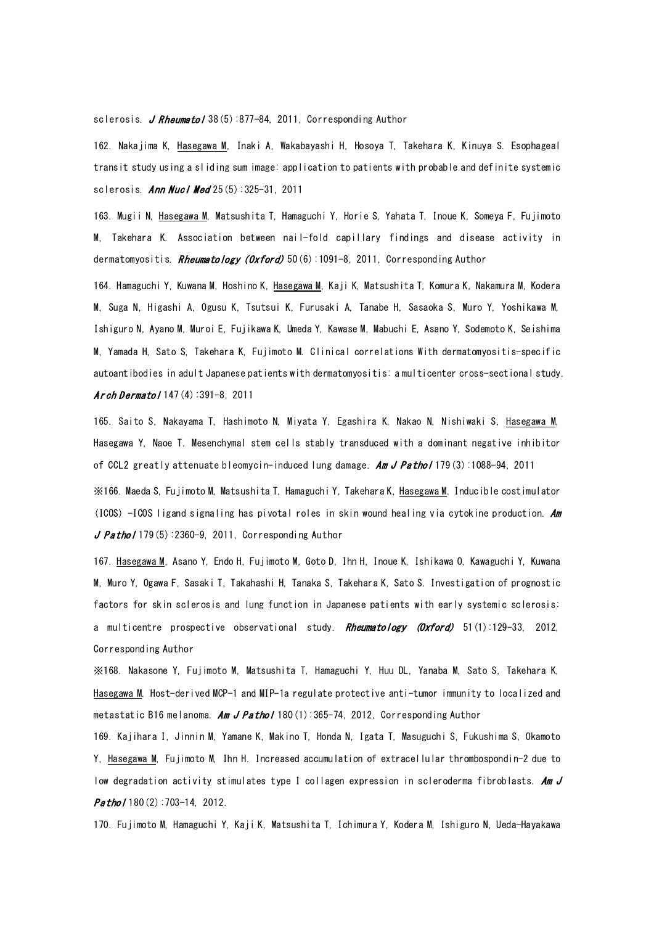## sclerosis. J R[heumatol](javascript:AL_get(this,%20) 38(5):877-84, 2011, Corresponding Author

162. Nakajima K, Hasegawa M, Inaki A, Wakabayashi H, Hosoya T, Takehara K, Kinuya S. Esophageal transit study using a sliding sum image: application to patients with probable and definite systemic sclerosis. **Ann Nucl Med** 25(5):325-31, 2011

163. [Mugii N,](http://www.ncbi.nlm.nih.gov/pubmed?term=%2522Mugii%20N%2522%255BAuthor%255D) [Hasegawa M,](http://www.ncbi.nlm.nih.gov/pubmed?term=%2522Hasegawa%20M%2522%255BAuthor%255D) [Matsushita T,](http://www.ncbi.nlm.nih.gov/pubmed?term=%2522Matsushita%20T%2522%255BAuthor%255D) [Hamaguchi Y,](http://www.ncbi.nlm.nih.gov/pubmed?term=%2522Hamaguchi%20Y%2522%255BAuthor%255D) [Horie S,](http://www.ncbi.nlm.nih.gov/pubmed?term=%2522Horie%20S%2522%255BAuthor%255D) [Yahata T,](http://www.ncbi.nlm.nih.gov/pubmed?term=%2522Yahata%20T%2522%255BAuthor%255D) [Inoue K,](http://www.ncbi.nlm.nih.gov/pubmed?term=%2522Inoue%20K%2522%255BAuthor%255D) [Someya F,](http://www.ncbi.nlm.nih.gov/pubmed?term=%2522Someya%20F%2522%255BAuthor%255D) [Fujimoto](http://www.ncbi.nlm.nih.gov/pubmed?term=%2522Fujimoto%20M%2522%255BAuthor%255D)  [M,](http://www.ncbi.nlm.nih.gov/pubmed?term=%2522Fujimoto%20M%2522%255BAuthor%255D) [Takehara K.](http://www.ncbi.nlm.nih.gov/pubmed?term=%2522Takehara%20K%2522%255BAuthor%255D) Association between nail-fold capillary findings and disease activity in dermatomyositis. R[heumatology \(](javascript:AL_get(this,%20)Oxford) 50(6):1091-8, 2011, Corresponding Author

164. Hamaguchi Y, Kuwana M, Hoshino K, Hasegawa M, Kaji K, Matsushita T, Komura K, Nakamura M, Kodera M, Suga N, Higashi A, Ogusu K, Tsutsui K, Furusaki A, Tanabe H, Sasaoka S, Muro Y, Yoshikawa M, Ishiguro N, Ayano M, Muroi E, Fujikawa K, Umeda Y, Kawase M, Mabuchi E, Asano Y, Sodemoto K, Seishima M, Yamada H, Sato S, Takehara K, Fujimoto M. Clinical correlations With dermatomyositis-specific autoantibodies in adult Japanese patients with dermatomyositis: a multicenter cross-sectional study. Arch D[ermatol](javascript:AL_get(this,%20)  $147(4)$ : 391-8, 2011

165. Saito S, Nakayama T, Hashimoto N, Miyata Y, Egashira K, Nakao N, Nishiwaki S, Hasegawa M, Hasegawa Y, Naoe T. Mesenchymal stem cells stably transduced with a dominant negative inhibitor of CCL2 greatly attenuate bleomycin-induced lung damage. Am J Pathol 179(3):1088-94, 2011

※166. Maeda S, Fujimoto M, Matsushita T, Hamaguchi Y, Takehara K, Hasegawa M. Inducible costimulator (ICOS) -ICOS ligand signaling has pivotal roles in skin wound healing via cytokine production.  $Am$  $J$  Pathol 179(5):2360-9, 2011, Corresponding Author

167. Hasegawa M, Asano Y, Endo H, Fujimoto M, Goto D, Ihn H, Inoue K, Ishikawa O, Kawaguchi Y, Kuwana M, Muro Y, Ogawa F, Sasaki T, Takahashi H, Tanaka S, Takehara K, Sato S[. Investigation of](http://www.ncbi.nlm.nih.gov/pubmed/22072085) prognostic [factors for skin sclerosis and lung function in Japanese patients with early systemic sclerosis:](http://www.ncbi.nlm.nih.gov/pubmed/22072085)  [a multicentre prospective observational study.](http://www.ncbi.nlm.nih.gov/pubmed/22072085) Rheumatology (Oxford) 51(1):129-33, 2012, Corresponding Author

※168. Nakasone Y, Fujimoto M, Matsushita T, Hamaguchi Y, Huu DL, Yanaba M, Sato S, Takehara K, Hasegawa M. Host-derived MCP-1 and MIP-1a regulate protective anti-tumor immunity to localized and metastatic B16 melanoma. Am J Pathol 180(1):365-74, 2012, Corresponding Author

169. Kajihara I, Jinnin M, Yamane K, Makino T, Honda N, Igata T, Masuguchi S, Fukushima S, Okamoto Y, Hasegawa M, Fujimoto M, Ihn H. [Increased accumulation of extracellular thrombospondin-2 due to](http://www.ncbi.nlm.nih.gov/pubmed/22142808)  [low degradation activity stimulates type I collagen expression in scleroderma fibroblasts.](http://www.ncbi.nlm.nih.gov/pubmed/22142808) Am J  $Patho/180(2):703-14, 2012.$ 

170. Fujimoto M, Hamaguchi Y, Kaji K, Matsushita T, Ichimura Y, Kodera M, Ishiguro N, Ueda-Hayakawa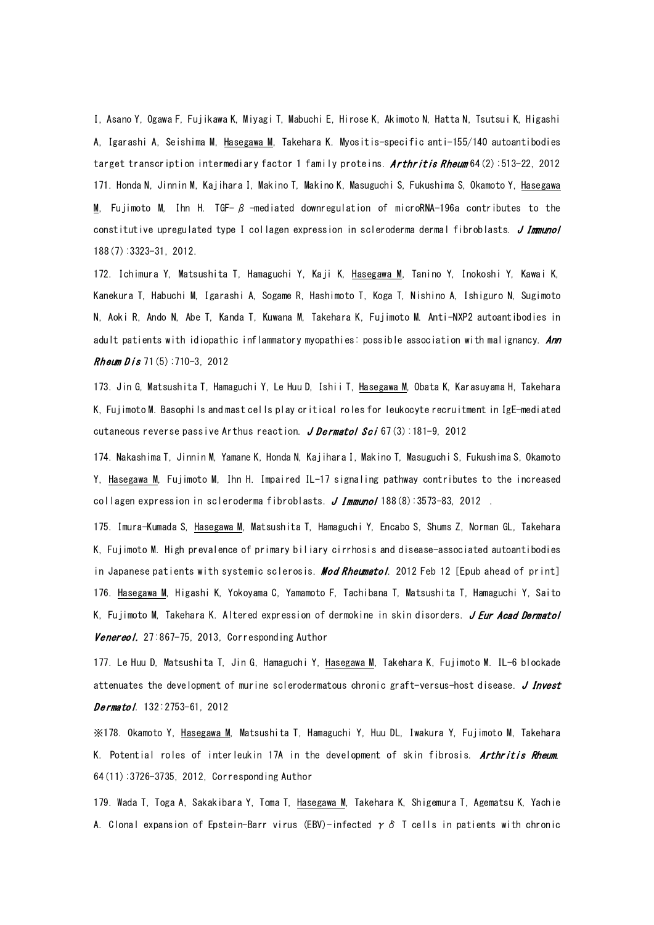I, Asano Y, Ogawa F, Fujikawa K, Miyagi T, Mabuchi E, Hirose K, Akimoto N, Hatta N, Tsutsui K, Higashi A, Igarashi A, Seishima M, Hasegawa M, Takehara K. Myositis-specific anti-155/140 autoantibodies target transcription intermediary factor 1 family proteins. **Arthritis Rheum** 64(2):513-22, 2012 171. Honda N, Jinnin M, Kajihara I, Makino T, Makino K, Masuguchi S, Fukushima S, Okamoto Y, Hasegawa M, Fujimoto M, Ihn H. TGF-  $\beta$  -mediated downregulation of microRNA-196a contributes to the [constitutive upregulated type I collagen expression in scleroderma dermal fibroblasts.](http://www.ncbi.nlm.nih.gov/pubmed/22379029) J Immunol 188(7):3323-31, 2012.

172. Ichimura Y, Matsushita T, Hamaguchi Y, Kaji K, Hasegawa M, Tanino Y, Inokoshi Y, Kawai K, Kanekura T, Habuchi M, Igarashi A, Sogame R, Hashimoto T, Koga T, Nishino A, Ishiguro N, Sugimoto N, Aoki R, Ando N, Abe T, Kanda T, Kuwana M, Takehara K, Fujimoto M. [Anti-NXP2 autoantibodies in](http://www.ncbi.nlm.nih.gov/pubmed/22258483)  [adult patients with idiopathic inflammatory myopathies: possible](http://www.ncbi.nlm.nih.gov/pubmed/22258483) association with malignancy. Ann Rheum  $Dis 71(5): 710-3, 2012$ 

173. Jin G, Matsushita T, Hamaguchi Y, Le Huu D, Ishii T, Hasegawa M, Obata K, Karasuyama H, Takehara K, Fujimoto M. Basophils and mast [cells play critical roles for leukocyte recruitment in IgE-mediated](http://www.ncbi.nlm.nih.gov/pubmed/22784785)  [cutaneous reverse passive Arthus reaction.](http://www.ncbi.nlm.nih.gov/pubmed/22784785) J Dermatol Sci 67(3):181-9, 2012

174. Nakashima T, Jinnin M, Yamane K, Honda N, Kajihara I, Makino T, Masuguchi S, Fukushima S, Okamoto Y, Hasegawa M, Fujimoto M, Ihn H. [Impaired IL-17 signaling pathway contributes to the increased](http://www.ncbi.nlm.nih.gov/pubmed/22403442)  [collagen expression in scleroderma fibroblasts.](http://www.ncbi.nlm.nih.gov/pubmed/22403442)  $J$  Immunol 188 $(8)$ :3573-83, 2012.

175. Imura-Kumada S, Hasegawa M, Matsushita T, Hamaguchi Y, Encabo S, Shums Z, Norman GL, Takehara K, Fujimoto M. [High prevalence of primary biliary cirrhosis and disease-associated autoantibodies](http://www.ncbi.nlm.nih.gov/pubmed/22327744)  [in Japanese patients with systemic sclerosis.](http://www.ncbi.nlm.nih.gov/pubmed/22327744) **Mod Rheumato**l. 2012 Feb 12 [Epub ahead of print] 176. Hasegawa M, Higashi K, Yokoyama C, Yamamoto F, Tachibana T, Matsushita T, Hamaguchi Y, Saito K, Fujimoto M, Takehara K. [Altered expression of dermokine in skin disorders.](http://www.ncbi.nlm.nih.gov/pubmed/22646803) *J Eur Acad Dermatol* Venereol. 27:867-75, 2013, Corresponding Author

177. Le Huu D, Matsushita T, Jin G, Hamaguchi Y, Hasegawa M, Takehara K, Fujimoto M. [IL-6 blockade](http://www.ncbi.nlm.nih.gov/pubmed/22810302)  [attenuates the development of murine sclerodermatous chronic graft-versus-host disease.](http://www.ncbi.nlm.nih.gov/pubmed/22810302) J Invest Dermatol. 132:2753-61, 2012

※178. Okamoto Y, Hasegawa M, Matsushita T, Hamaguchi Y, Huu DL, Iwakura Y, Fujimoto M, Takehara K. [Potential roles of interleukin 17A in the development of skin fibrosis.](http://www.ncbi.nlm.nih.gov/pubmed/22833167) Arthritis Rheum. 64(11):3726-3735, 2012, Corresponding Author

179. [Wada T,](http://www.ncbi.nlm.nih.gov/pubmed?term=Wada%20T%255BAuthor%255D&cauthor=true&cauthor_uid=22886572) [Toga A,](http://www.ncbi.nlm.nih.gov/pubmed?term=Toga%20A%255BAuthor%255D&cauthor=true&cauthor_uid=22886572) [Sakakibara Y,](http://www.ncbi.nlm.nih.gov/pubmed?term=Sakakibara%20Y%255BAuthor%255D&cauthor=true&cauthor_uid=22886572) [Toma T,](http://www.ncbi.nlm.nih.gov/pubmed?term=Toma%20T%255BAuthor%255D&cauthor=true&cauthor_uid=22886572) [Hasegawa M,](http://www.ncbi.nlm.nih.gov/pubmed?term=Hasegawa%20M%255BAuthor%255D&cauthor=true&cauthor_uid=22886572) [Takehara K,](http://www.ncbi.nlm.nih.gov/pubmed?term=Takehara%20K%255BAuthor%255D&cauthor=true&cauthor_uid=22886572) [Shigemura T,](http://www.ncbi.nlm.nih.gov/pubmed?term=Shigemura%20T%255BAuthor%255D&cauthor=true&cauthor_uid=22886572) [Agematsu K,](http://www.ncbi.nlm.nih.gov/pubmed?term=Agematsu%20K%255BAuthor%255D&cauthor=true&cauthor_uid=22886572) [Yachie](http://www.ncbi.nlm.nih.gov/pubmed?term=Yachie%20A%255BAuthor%255D&cauthor=true&cauthor_uid=22886572)  [A.](http://www.ncbi.nlm.nih.gov/pubmed?term=Yachie%20A%255BAuthor%255D&cauthor=true&cauthor_uid=22886572) Clonal expansion of Epstein-Barr virus (EBV)-infected  $\gamma \delta$  T cells in patients with chronic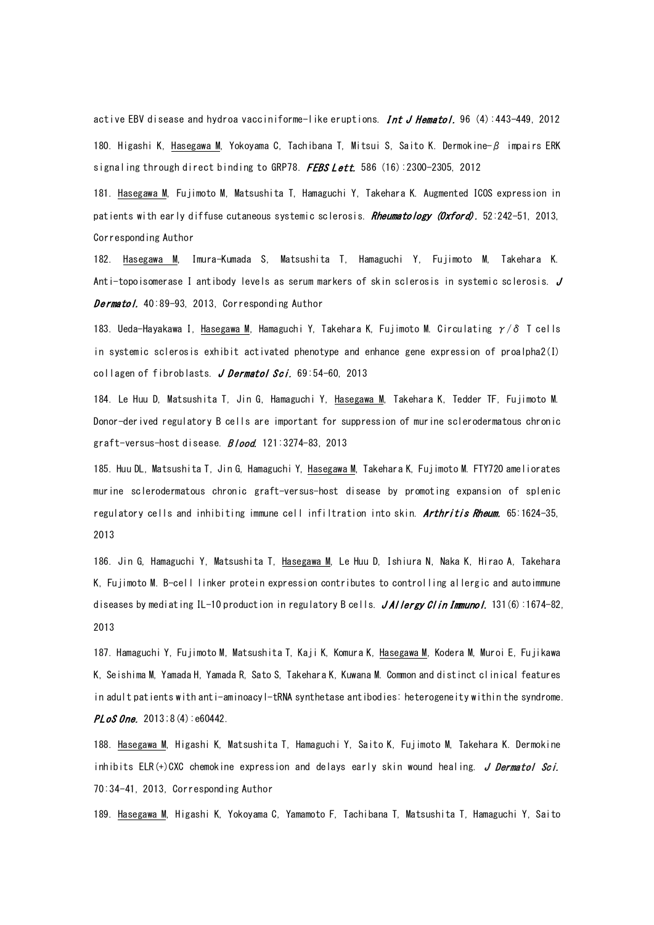active EBV disease and hydroa vacciniforme-like eruptions. Int J H[ematol.](http://www.ncbi.nlm.nih.gov/pubmed/22886572) 96  $(4)$ :443-449, 2012 180. Higashi K, Hasegawa M, Yokoyama C, Tachibana T, Mitsui S, Saito K. Dermokine-β impairs ERK signaling through direct binding to GRP78. FEBS Lett. 586 (16):2300-2305, 2012

181. Hasegawa M, Fujimoto M, Matsushita T, Hamaguchi Y, Takehara K. Augmented ICOS expression in patients with early diffuse cutaneous systemic sclerosis. Rheumatology (Oxford). 52:242-51, 2013, Corresponding Author

182. Hasegawa M, Imura-Kumada S, Matsushita T, Hamaguchi Y, Fujimoto M, Takehara K. Anti-topoisomerase I antibody levels as serum markers of skin sclerosis in systemic sclerosis. J Dermatol. 40:89-93, 2013, Corresponding Author

183. Ueda-Hayakawa I, Hasegawa M, Hamaguchi Y, Takehara K, Fujimoto M. [Circulating](http://www.ncbi.nlm.nih.gov/pubmed/23159281)  $\gamma/\delta$  T cells [in systemic sclerosis exhibit activated phenotype and enhance gene expression of proalpha2\(I\)](http://www.ncbi.nlm.nih.gov/pubmed/23159281)  [collagen of fibroblasts.](http://www.ncbi.nlm.nih.gov/pubmed/23159281) J Dermatol Sci. 69:54-60, 2013

184. Le Huu D, Matsushita T, Jin G, Hamaguchi Y, Hasegawa M, Takehara K, Tedder TF, Fujimoto M. Donor-derived regulatory B cells are important for suppression of murine sclerodermatous chronic graft-versus-host disease. **Blood.** 121:3274-83, 2013

185. Huu DL, Matsushita T, Jin G, Hamaguchi Y, Hasegawa M, Takehara K, Fujimoto M. [FTY720 ameliorates](http://www.ncbi.nlm.nih.gov/pubmed/23508350)  [murine sclerodermatous chronic graft-versus-host disease by promoting expansion of splenic](http://www.ncbi.nlm.nih.gov/pubmed/23508350)  [regulatory cells and inhibiting immune cell infiltration into skin.](http://www.ncbi.nlm.nih.gov/pubmed/23508350) Arthritis Rheum. 65:1624-35, 2013

186. Jin G, Hamaguchi Y, Matsushita T, Hasegawa M, Le Huu D, Ishiura N, Naka K, Hirao A, Takehara K, Fujimoto M. B-cell linker protein expression contributes to controlling allergic and autoimmune diseases by mediating IL-10 production in regulatory B cells. JAI lergy Clin Immunol. 131(6):1674-82, 2013

187. Hamaguchi Y, Fujimoto M, Matsushita T, Kaji K, Komura K, Hasegawa M, Kodera M, Muroi E, Fujikawa K, Seishima M, Yamada H, Yamada R, Sato S, Takehara K, Kuwana M. Common and distinct clinical features in adult patients with anti-aminoacyl-tRNA synthetase antibodies: heterogeneity within the syndrome.  $PLoS$  One. 2013; 8(4): e60442.

188. Hasegawa M, Higashi K, Matsushita T, Hamaguchi Y, Saito K, Fujimoto M, Takehara K. Dermokine inhibits ELR(+)CXC chemokine expression and delays early skin wound healing. J Dermatol Sci. 70:34-41, 2013, Corresponding Author

189. Hasegawa M, Higashi K, Yokoyama C, Yamamoto F, Tachibana T, Matsushita T, Hamaguchi Y, Saito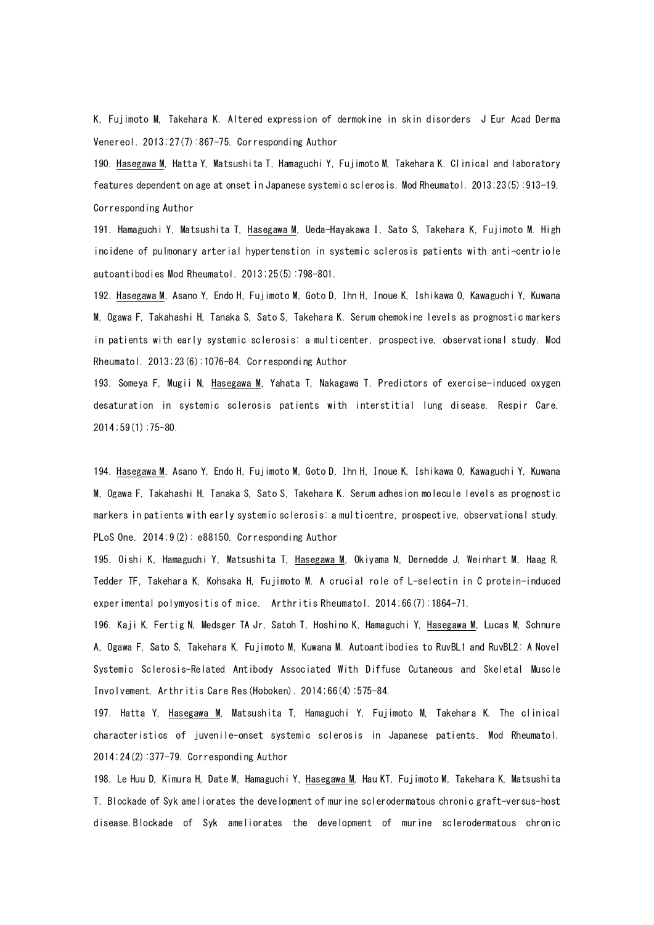K, Fujimoto M, Takehara K. Altered expression of dermokine in skin disorders J Eur Acad Derma Venereol. 2013;27(7):867-75. Corresponding Author

190. Hasegawa M, Hatta Y, Matsushita T, Hamaguchi Y, Fujimoto M, Takehara K. Clinical and laboratory features dependent on age at onset in Japanese systemic sclerosis. Mod Rheumatol. 2013;23(5):913-19. Corresponding Author

191. Hamaguchi Y, Matsushita T, Hasegawa M, Ueda-Hayakawa I, Sato S, Takehara K, Fujimoto M. High incidene of pulmonary arterial hypertenstion in systemic sclerosis patients with anti-centriole autoantibodies Mod Rheumatol. 2013;25(5):798-801.

192. Hasegawa M, Asano Y, Endo H, Fujimoto M, Goto D, Ihn H, Inoue K, Ishikawa O, Kawaguchi Y, Kuwana M, Ogawa F, Takahashi H, Tanaka S, Sato S, Takehara K. Serum chemokine levels as prognostic markers in patients with early systemic sclerosis: a multicenter, prospective, observational study. Mod Rheumatol. 2013;23(6):1076-84. Corresponding Author

193. Someya F, Mugii N, Hasegawa M, Yahata T, Nakagawa T. Predictors of exercise-induced oxygen desaturation in systemic sclerosis patients with interstitial lung disease. Respir Care. 2014;59(1):75-80.

194. Hasegawa M, Asano Y, Endo H, Fujimoto M, Goto D, Ihn H, Inoue K, Ishikawa O, Kawaguchi Y, Kuwana M, Ogawa F, Takahashi H, Tanaka S, Sato S, Takehara K. Serum adhesion molecule levels as prognostic markers in patients with early systemic sclerosis: a multicentre, prospective, observational study. PLoS One. 2014;9(2): e88150. Corresponding Author

195. Oishi K, Hamaguchi Y, Matsushita T, Hasegawa M, Okiyama N, Dernedde J, Weinhart M, Haag R, Tedder TF, Takehara K, Kohsaka H, Fujimoto M. A crucial role of L-selectin in C protein-induced experimental polymyositis of mice. Arthritis Rheumatol. 2014;66(7):1864-71.

196. Kaji K, Fertig N, Medsger TA Jr, Satoh T, Hoshino K, Hamaguchi Y, Hasegawa M, Lucas M, Schnure A, Ogawa F, Sato S, Takehara K, Fujimoto M, Kuwana M. Autoantibodies to RuvBL1 and RuvBL2: A Novel Systemic Sclerosis-Related Antibody Associated With Diffuse Cutaneous and Skeletal Muscle Involvement. Arthritis Care Res(Hoboken). 2014;66(4):575-84.

197. Hatta Y, Hasegawa M, Matsushita T, Hamaguchi Y, Fujimoto M, Takehara K. The clinical characteristics of juvenile-onset systemic sclerosis in Japanese patients. Mod Rheumatol. 2014;24(2):377-79. Corresponding Author

198. Le Huu D, Kimura H, Date M, Hamaguchi Y, Hasegawa M, Hau KT, Fujimoto M, Takehara K, Matsushita T. Blockade of Syk ameliorates the development of murine sclerodermatous chronic graft-versus-host disease.Blockade of Syk ameliorates the development of murine sclerodermatous chronic